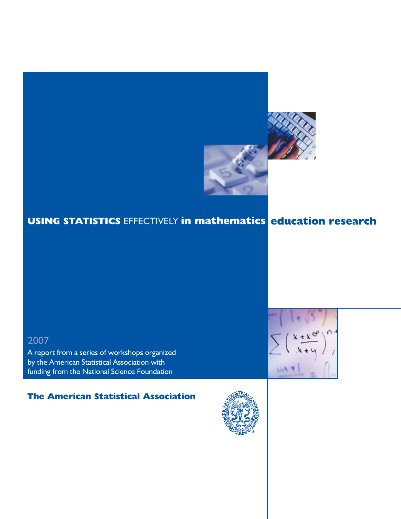

# **USING STATISTICS** EFFECTIVELY **in mathematics education research**

# 2007

A report from a series of workshops organized by the American Statistical Association with funding from the National Science Foundation

# **The American Statistical Association**



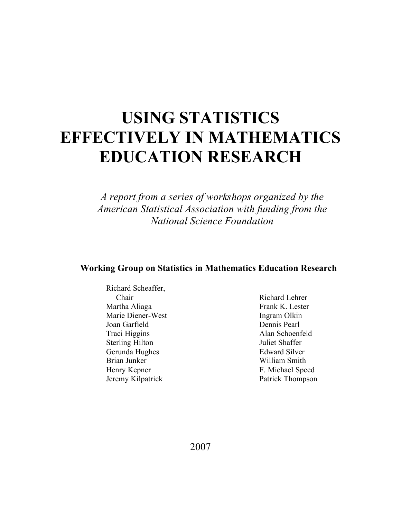# **USING STATISTICS EFFECTIVELY IN MATHEMATICS EDUCATION RESEARCH**

*A report from a series of workshops organized by the American Statistical Association with funding from the National Science Foundation*

# **Working Group on Statistics in Mathematics Education Research**

Richard Scheaffer, Chair Martha Aliaga Marie Diener-West Joan Garfield Traci Higgins Sterling Hilton Gerunda Hughes Brian Junker Henry Kepner Jeremy Kilpatrick

Richard Lehrer Frank K. Lester Ingram Olkin Dennis Pearl Alan Schoenfeld Juliet Shaffer Edward Silver William Smith F. Michael Speed Patrick Thompson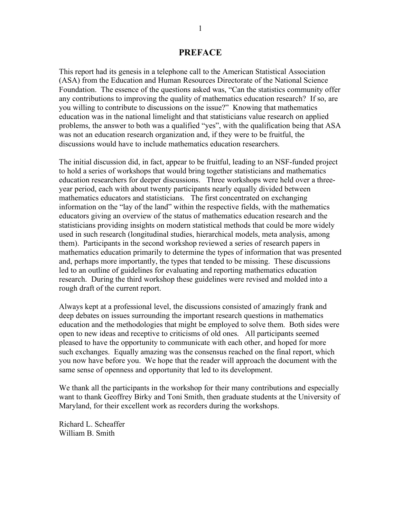#### **PREFACE**

This report had its genesis in a telephone call to the American Statistical Association (ASA) from the Education and Human Resources Directorate of the National Science Foundation. The essence of the questions asked was, "Can the statistics community offer any contributions to improving the quality of mathematics education research? If so, are you willing to contribute to discussions on the issue?" Knowing that mathematics education was in the national limelight and that statisticians value research on applied problems, the answer to both was a qualified "yes", with the qualification being that ASA was not an education research organization and, if they were to be fruitful, the discussions would have to include mathematics education researchers.

The initial discussion did, in fact, appear to be fruitful, leading to an NSF-funded project to hold a series of workshops that would bring together statisticians and mathematics education researchers for deeper discussions. Three workshops were held over a threeyear period, each with about twenty participants nearly equally divided between mathematics educators and statisticians. The first concentrated on exchanging information on the "lay of the land" within the respective fields, with the mathematics educators giving an overview of the status of mathematics education research and the statisticians providing insights on modern statistical methods that could be more widely used in such research (longitudinal studies, hierarchical models, meta analysis, among them). Participants in the second workshop reviewed a series of research papers in mathematics education primarily to determine the types of information that was presented and, perhaps more importantly, the types that tended to be missing. These discussions led to an outline of guidelines for evaluating and reporting mathematics education research. During the third workshop these guidelines were revised and molded into a rough draft of the current report.

Always kept at a professional level, the discussions consisted of amazingly frank and deep debates on issues surrounding the important research questions in mathematics education and the methodologies that might be employed to solve them. Both sides were open to new ideas and receptive to criticisms of old ones. All participants seemed pleased to have the opportunity to communicate with each other, and hoped for more such exchanges. Equally amazing was the consensus reached on the final report, which you now have before you. We hope that the reader will approach the document with the same sense of openness and opportunity that led to its development.

We thank all the participants in the workshop for their many contributions and especially want to thank Geoffrey Birky and Toni Smith, then graduate students at the University of Maryland, for their excellent work as recorders during the workshops.

Richard L. Scheaffer William B. Smith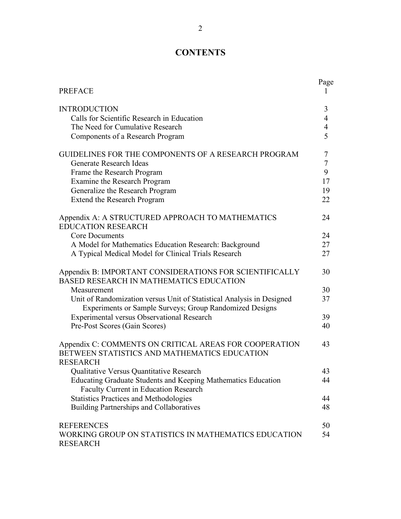# **CONTENTS**

| <b>PREFACE</b>                                                                                                                   | Page           |
|----------------------------------------------------------------------------------------------------------------------------------|----------------|
| <b>INTRODUCTION</b>                                                                                                              | 3              |
| Calls for Scientific Research in Education                                                                                       | $\overline{4}$ |
| The Need for Cumulative Research                                                                                                 | $\overline{4}$ |
| Components of a Research Program                                                                                                 | 5              |
| <b>GUIDELINES FOR THE COMPONENTS OF A RESEARCH PROGRAM</b>                                                                       | 7              |
| Generate Research Ideas                                                                                                          | $\overline{7}$ |
| Frame the Research Program                                                                                                       | 9              |
| Examine the Research Program                                                                                                     | 17             |
| Generalize the Research Program                                                                                                  | 19             |
| Extend the Research Program                                                                                                      | 22             |
| Appendix A: A STRUCTURED APPROACH TO MATHEMATICS<br><b>EDUCATION RESEARCH</b>                                                    | 24             |
| <b>Core Documents</b>                                                                                                            | 24             |
| A Model for Mathematics Education Research: Background                                                                           | 27             |
| A Typical Medical Model for Clinical Trials Research                                                                             | 27             |
| Appendix B: IMPORTANT CONSIDERATIONS FOR SCIENTIFICALLY<br><b>BASED RESEARCH IN MATHEMATICS EDUCATION</b>                        | 30             |
| Measurement                                                                                                                      | 30             |
| Unit of Randomization versus Unit of Statistical Analysis in Designed<br>Experiments or Sample Surveys; Group Randomized Designs | 37             |
| <b>Experimental versus Observational Research</b>                                                                                | 39             |
| Pre-Post Scores (Gain Scores)                                                                                                    | 40             |
| Appendix C: COMMENTS ON CRITICAL AREAS FOR COOPERATION<br>BETWEEN STATISTICS AND MATHEMATICS EDUCATION<br><b>RESEARCH</b>        | 43             |
| Qualitative Versus Quantitative Research                                                                                         | 43             |
| Educating Graduate Students and Keeping Mathematics Education<br><b>Faculty Current in Education Research</b>                    | 44             |
| <b>Statistics Practices and Methodologies</b>                                                                                    | 44             |
| Building Partnerships and Collaboratives                                                                                         | 48             |
| <b>REFERENCES</b>                                                                                                                | 50             |
| WORKING GROUP ON STATISTICS IN MATHEMATICS EDUCATION<br><b>RESEARCH</b>                                                          | 54             |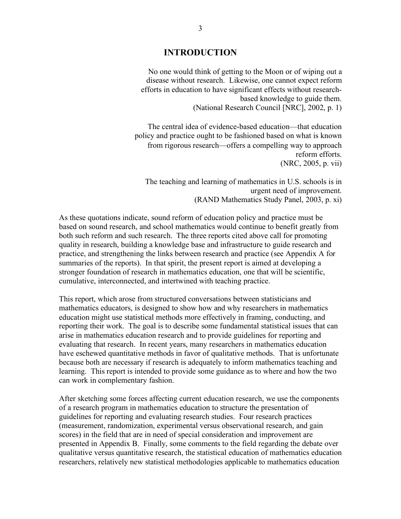#### **INTRODUCTION**

No one would think of getting to the Moon or of wiping out a disease without research. Likewise, one cannot expect reform efforts in education to have significant effects without researchbased knowledge to guide them. (National Research Council [NRC], 2002, p. 1)

The central idea of evidence-based education—that education policy and practice ought to be fashioned based on what is known from rigorous research—offers a compelling way to approach reform efforts. (NRC, 2005, p. vii)

The teaching and learning of mathematics in U.S. schools is in urgent need of improvement. (RAND Mathematics Study Panel, 2003, p. xi)

As these quotations indicate, sound reform of education policy and practice must be based on sound research, and school mathematics would continue to benefit greatly from both such reform and such research. The three reports cited above call for promoting quality in research, building a knowledge base and infrastructure to guide research and practice, and strengthening the links between research and practice (see Appendix A for summaries of the reports). In that spirit, the present report is aimed at developing a stronger foundation of research in mathematics education, one that will be scientific, cumulative, interconnected, and intertwined with teaching practice.

This report, which arose from structured conversations between statisticians and mathematics educators, is designed to show how and why researchers in mathematics education might use statistical methods more effectively in framing, conducting, and reporting their work. The goal is to describe some fundamental statistical issues that can arise in mathematics education research and to provide guidelines for reporting and evaluating that research. In recent years, many researchers in mathematics education have eschewed quantitative methods in favor of qualitative methods. That is unfortunate because both are necessary if research is adequately to inform mathematics teaching and learning. This report is intended to provide some guidance as to where and how the two can work in complementary fashion.

After sketching some forces affecting current education research, we use the components of a research program in mathematics education to structure the presentation of guidelines for reporting and evaluating research studies. Four research practices (measurement, randomization, experimental versus observational research, and gain scores) in the field that are in need of special consideration and improvement are presented in Appendix B. Finally, some comments to the field regarding the debate over qualitative versus quantitative research, the statistical education of mathematics education researchers, relatively new statistical methodologies applicable to mathematics education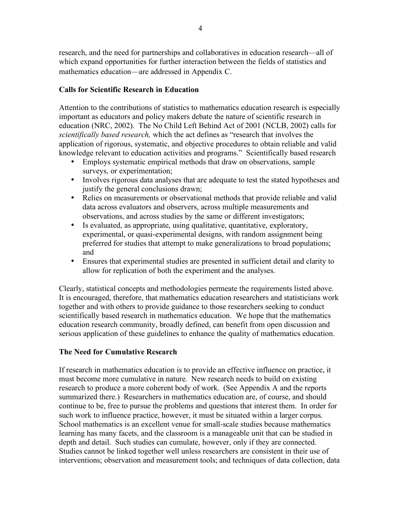research, and the need for partnerships and collaboratives in education research—all of which expand opportunities for further interaction between the fields of statistics and mathematics education—are addressed in Appendix C.

# **Calls for Scientific Research in Education**

Attention to the contributions of statistics to mathematics education research is especially important as educators and policy makers debate the nature of scientific research in education (NRC, 2002). The No Child Left Behind Act of 2001 (NCLB, 2002) calls for *scientifically based research,* which the act defines as "research that involves the application of rigorous, systematic, and objective procedures to obtain reliable and valid knowledge relevant to education activities and programs." Scientifically based research

- Employs systematic empirical methods that draw on observations, sample surveys, or experimentation;
- Involves rigorous data analyses that are adequate to test the stated hypotheses and justify the general conclusions drawn;
- Relies on measurements or observational methods that provide reliable and valid data across evaluators and observers, across multiple measurements and observations, and across studies by the same or different investigators;
- Is evaluated, as appropriate, using qualitative, quantitative, exploratory, experimental, or quasi-experimental designs, with random assignment being preferred for studies that attempt to make generalizations to broad populations; and
- Ensures that experimental studies are presented in sufficient detail and clarity to allow for replication of both the experiment and the analyses.

Clearly, statistical concepts and methodologies permeate the requirements listed above. It is encouraged, therefore, that mathematics education researchers and statisticians work together and with others to provide guidance to those researchers seeking to conduct scientifically based research in mathematics education. We hope that the mathematics education research community, broadly defined, can benefit from open discussion and serious application of these guidelines to enhance the quality of mathematics education.

# **The Need for Cumulative Research**

If research in mathematics education is to provide an effective influence on practice, it must become more cumulative in nature. New research needs to build on existing research to produce a more coherent body of work. (See Appendix A and the reports summarized there.) Researchers in mathematics education are, of course, and should continue to be, free to pursue the problems and questions that interest them. In order for such work to influence practice, however, it must be situated within a larger corpus. School mathematics is an excellent venue for small-scale studies because mathematics learning has many facets, and the classroom is a manageable unit that can be studied in depth and detail. Such studies can cumulate, however, only if they are connected. Studies cannot be linked together well unless researchers are consistent in their use of interventions; observation and measurement tools; and techniques of data collection, data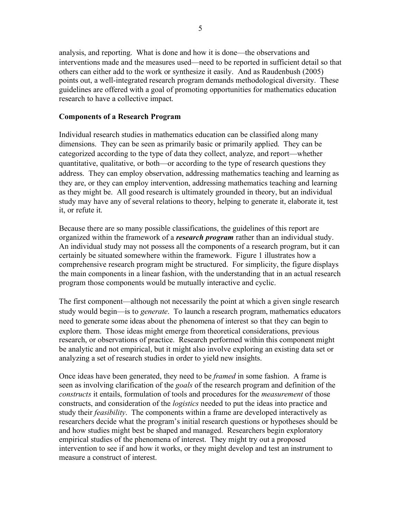analysis, and reporting. What is done and how it is done—the observations and interventions made and the measures used—need to be reported in sufficient detail so that others can either add to the work or synthesize it easily. And as Raudenbush (2005) points out, a well-integrated research program demands methodological diversity. These guidelines are offered with a goal of promoting opportunities for mathematics education research to have a collective impact.

# **Components of a Research Program**

Individual research studies in mathematics education can be classified along many dimensions. They can be seen as primarily basic or primarily applied. They can be categorized according to the type of data they collect, analyze, and report—whether quantitative, qualitative, or both—or according to the type of research questions they address. They can employ observation, addressing mathematics teaching and learning as they are, or they can employ intervention, addressing mathematics teaching and learning as they might be. All good research is ultimately grounded in theory, but an individual study may have any of several relations to theory, helping to generate it, elaborate it, test it, or refute it.

Because there are so many possible classifications, the guidelines of this report are organized within the framework of a *research program* rather than an individual study. An individual study may not possess all the components of a research program, but it can certainly be situated somewhere within the framework. Figure 1 illustrates how a comprehensive research program might be structured. For simplicity, the figure displays the main components in a linear fashion, with the understanding that in an actual research program those components would be mutually interactive and cyclic.

The first component—although not necessarily the point at which a given single research study would begin—is to *generate*. To launch a research program, mathematics educators need to generate some ideas about the phenomena of interest so that they can begin to explore them. Those ideas might emerge from theoretical considerations, previous research, or observations of practice. Research performed within this component might be analytic and not empirical, but it might also involve exploring an existing data set or analyzing a set of research studies in order to yield new insights.

Once ideas have been generated, they need to be *framed* in some fashion. A frame is seen as involving clarification of the *goals* of the research program and definition of the *constructs* it entails, formulation of tools and procedures for the *measurement* of those constructs, and consideration of the *logistics* needed to put the ideas into practice and study their *feasibility*. The components within a frame are developed interactively as researchers decide what the program's initial research questions or hypotheses should be and how studies might best be shaped and managed. Researchers begin exploratory empirical studies of the phenomena of interest. They might try out a proposed intervention to see if and how it works, or they might develop and test an instrument to measure a construct of interest.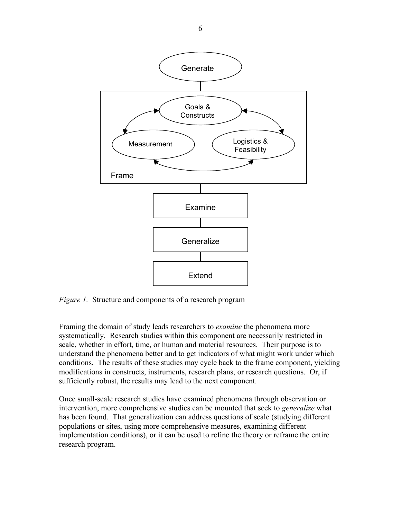

*Figure 1.* Structure and components of a research program

Framing the domain of study leads researchers to *examine* the phenomena more systematically. Research studies within this component are necessarily restricted in scale, whether in effort, time, or human and material resources. Their purpose is to understand the phenomena better and to get indicators of what might work under which conditions. The results of these studies may cycle back to the frame component, yielding modifications in constructs, instruments, research plans, or research questions. Or, if sufficiently robust, the results may lead to the next component.

Once small-scale research studies have examined phenomena through observation or intervention, more comprehensive studies can be mounted that seek to *generalize* what has been found. That generalization can address questions of scale (studying different populations or sites, using more comprehensive measures, examining different implementation conditions), or it can be used to refine the theory or reframe the entire research program.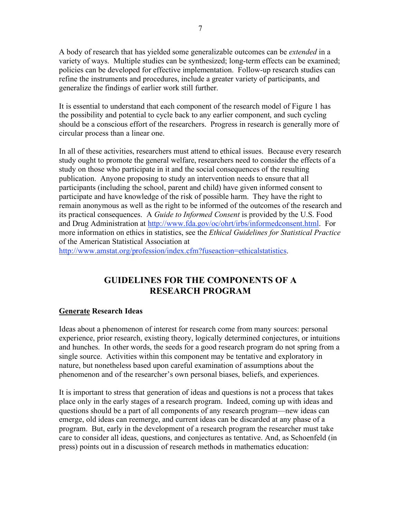A body of research that has yielded some generalizable outcomes can be *extended* in a variety of ways. Multiple studies can be synthesized; long-term effects can be examined; policies can be developed for effective implementation. Follow-up research studies can refine the instruments and procedures, include a greater variety of participants, and generalize the findings of earlier work still further.

It is essential to understand that each component of the research model of Figure 1 has the possibility and potential to cycle back to any earlier component, and such cycling should be a conscious effort of the researchers. Progress in research is generally more of circular process than a linear one.

In all of these activities, researchers must attend to ethical issues. Because every research study ought to promote the general welfare, researchers need to consider the effects of a study on those who participate in it and the social consequences of the resulting publication. Anyone proposing to study an intervention needs to ensure that all participants (including the school, parent and child) have given informed consent to participate and have knowledge of the risk of possible harm. They have the right to remain anonymous as well as the right to be informed of the outcomes of the research and its practical consequences. A *Guide to Informed Consent* is provided by the U.S. Food and Drug Administration at http://www.fda.gov/oc/ohrt/irbs/informedconsent.html. For more information on ethics in statistics, see the *Ethical Guidelines for Statistical Practice* of the American Statistical Association at

http://www.amstat.org/profession/index.cfm?fuseaction=ethicalstatistics.

# **GUIDELINES FOR THE COMPONENTS OF A RESEARCH PROGRAM**

#### **Generate Research Ideas**

Ideas about a phenomenon of interest for research come from many sources: personal experience, prior research, existing theory, logically determined conjectures, or intuitions and hunches. In other words, the seeds for a good research program do not spring from a single source. Activities within this component may be tentative and exploratory in nature, but nonetheless based upon careful examination of assumptions about the phenomenon and of the researcher's own personal biases, beliefs, and experiences.

It is important to stress that generation of ideas and questions is not a process that takes place only in the early stages of a research program. Indeed, coming up with ideas and questions should be a part of all components of any research program—new ideas can emerge, old ideas can reemerge, and current ideas can be discarded at any phase of a program. But, early in the development of a research program the researcher must take care to consider all ideas, questions, and conjectures as tentative. And, as Schoenfeld (in press) points out in a discussion of research methods in mathematics education: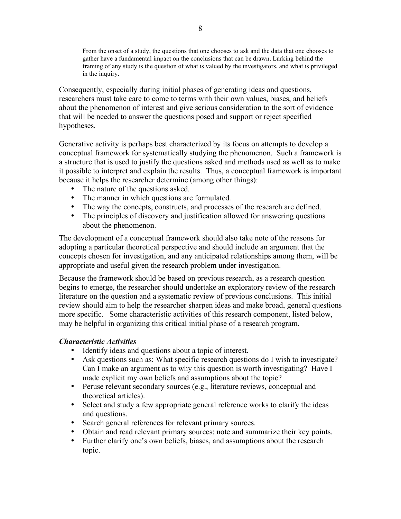From the onset of a study, the questions that one chooses to ask and the data that one chooses to gather have a fundamental impact on the conclusions that can be drawn. Lurking behind the framing of any study is the question of what is valued by the investigators, and what is privileged in the inquiry.

Consequently, especially during initial phases of generating ideas and questions, researchers must take care to come to terms with their own values, biases, and beliefs about the phenomenon of interest and give serious consideration to the sort of evidence that will be needed to answer the questions posed and support or reject specified hypotheses.

Generative activity is perhaps best characterized by its focus on attempts to develop a conceptual framework for systematically studying the phenomenon. Such a framework is a structure that is used to justify the questions asked and methods used as well as to make it possible to interpret and explain the results. Thus, a conceptual framework is important because it helps the researcher determine (among other things):

- The nature of the questions asked.
- The manner in which questions are formulated.
- The way the concepts, constructs, and processes of the research are defined.
- The principles of discovery and justification allowed for answering questions about the phenomenon.

The development of a conceptual framework should also take note of the reasons for adopting a particular theoretical perspective and should include an argument that the concepts chosen for investigation, and any anticipated relationships among them, will be appropriate and useful given the research problem under investigation.

Because the framework should be based on previous research, as a research question begins to emerge, the researcher should undertake an exploratory review of the research literature on the question and a systematic review of previous conclusions. This initial review should aim to help the researcher sharpen ideas and make broad, general questions more specific. Some characteristic activities of this research component, listed below, may be helpful in organizing this critical initial phase of a research program.

# *Characteristic Activities*

- Identify ideas and questions about a topic of interest.
- Ask questions such as: What specific research questions do I wish to investigate? Can I make an argument as to why this question is worth investigating? Have I made explicit my own beliefs and assumptions about the topic?
- Peruse relevant secondary sources (e.g., literature reviews, conceptual and theoretical articles).
- Select and study a few appropriate general reference works to clarify the ideas and questions.
- Search general references for relevant primary sources.
- Obtain and read relevant primary sources; note and summarize their key points.
- Further clarify one's own beliefs, biases, and assumptions about the research topic.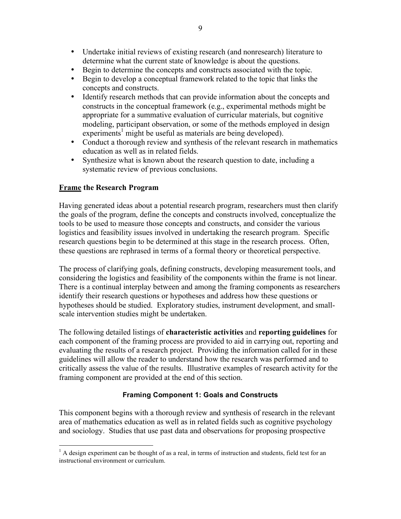- Undertake initial reviews of existing research (and nonresearch) literature to determine what the current state of knowledge is about the questions.
- Begin to determine the concepts and constructs associated with the topic.
- Begin to develop a conceptual framework related to the topic that links the concepts and constructs.
- Identify research methods that can provide information about the concepts and constructs in the conceptual framework (e.g., experimental methods might be appropriate for a summative evaluation of curricular materials, but cognitive modeling, participant observation, or some of the methods employed in design experiments<sup>1</sup> might be useful as materials are being developed).
- Conduct a thorough review and synthesis of the relevant research in mathematics education as well as in related fields.
- Synthesize what is known about the research question to date, including a systematic review of previous conclusions.

# **Frame the Research Program**

Having generated ideas about a potential research program, researchers must then clarify the goals of the program, define the concepts and constructs involved, conceptualize the tools to be used to measure those concepts and constructs, and consider the various logistics and feasibility issues involved in undertaking the research program. Specific research questions begin to be determined at this stage in the research process. Often, these questions are rephrased in terms of a formal theory or theoretical perspective.

The process of clarifying goals, defining constructs, developing measurement tools, and considering the logistics and feasibility of the components within the frame is not linear. There is a continual interplay between and among the framing components as researchers identify their research questions or hypotheses and address how these questions or hypotheses should be studied. Exploratory studies, instrument development, and smallscale intervention studies might be undertaken.

The following detailed listings of **characteristic activities** and **reporting guidelines** for each component of the framing process are provided to aid in carrying out, reporting and evaluating the results of a research project. Providing the information called for in these guidelines will allow the reader to understand how the research was performed and to critically assess the value of the results. Illustrative examples of research activity for the framing component are provided at the end of this section.

# **Framing Component 1: Goals and Constructs**

This component begins with a thorough review and synthesis of research in the relevant area of mathematics education as well as in related fields such as cognitive psychology and sociology. Studies that use past data and observations for proposing prospective

 $<sup>1</sup>$  A design experiment can be thought of as a real, in terms of instruction and students, field test for an</sup> instructional environment or curriculum.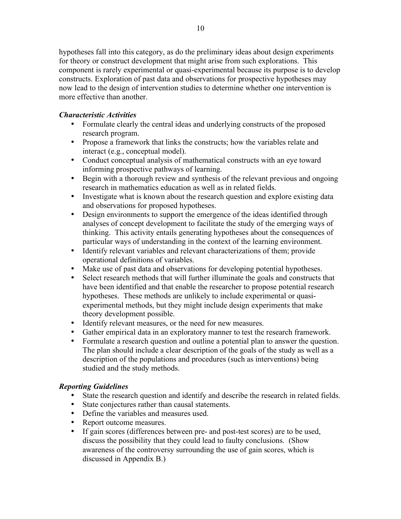hypotheses fall into this category, as do the preliminary ideas about design experiments for theory or construct development that might arise from such explorations. This component is rarely experimental or quasi-experimental because its purpose is to develop constructs. Exploration of past data and observations for prospective hypotheses may now lead to the design of intervention studies to determine whether one intervention is more effective than another.

# *Characteristic Activities*

- Formulate clearly the central ideas and underlying constructs of the proposed research program.
- Propose a framework that links the constructs; how the variables relate and interact (e.g., conceptual model).
- Conduct conceptual analysis of mathematical constructs with an eye toward informing prospective pathways of learning.
- Begin with a thorough review and synthesis of the relevant previous and ongoing research in mathematics education as well as in related fields.
- Investigate what is known about the research question and explore existing data and observations for proposed hypotheses.
- Design environments to support the emergence of the ideas identified through analyses of concept development to facilitate the study of the emerging ways of thinking. This activity entails generating hypotheses about the consequences of particular ways of understanding in the context of the learning environment.
- Identify relevant variables and relevant characterizations of them; provide operational definitions of variables.
- Make use of past data and observations for developing potential hypotheses.
- Select research methods that will further illuminate the goals and constructs that have been identified and that enable the researcher to propose potential research hypotheses. These methods are unlikely to include experimental or quasiexperimental methods, but they might include design experiments that make theory development possible.
- Identify relevant measures, or the need for new measures.
- Gather empirical data in an exploratory manner to test the research framework.
- Formulate a research question and outline a potential plan to answer the question. The plan should include a clear description of the goals of the study as well as a description of the populations and procedures (such as interventions) being studied and the study methods.

# *Reporting Guidelines*

- State the research question and identify and describe the research in related fields.
- State conjectures rather than causal statements.
- Define the variables and measures used.
- Report outcome measures.
- If gain scores (differences between pre- and post-test scores) are to be used, discuss the possibility that they could lead to faulty conclusions. (Show awareness of the controversy surrounding the use of gain scores, which is discussed in Appendix B.)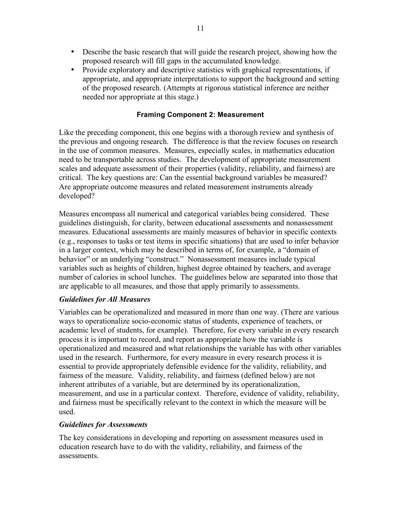- Describe the basic research that will guide the research project, showing how the proposed research will fill gaps in the accumulated knowledge.
- Provide exploratory and descriptive statistics with graphical representations, if appropriate, and appropriate interpretations to support the background and setting of the proposed research. (Attempts at rigorous statistical inference are neither needed nor appropriate at this stage.)

#### **Framing Component 2: Measurement**

Like the preceding component, this one begins with a thorough review and synthesis of the previous and ongoing research. The difference is that the review focuses on research in the use of common measures. Measures, especially scales, in mathematics education need to be transportable across studies. The development of appropriate measurement scales and adequate assessment of their properties (validity, reliability, and fairness) are critical. The key questions are: Can the essential background variables be measured? Are appropriate outcome measures and related measurement instruments already developed?

Measures encompass all numerical and categorical variables being considered. These guidelines distinguish, for clarity, between educational assessments and nonassessment measures. Educational assessments are mainly measures of behavior in specific contexts (e.g., responses to tasks or test items in specific situations) that are used to infer behavior in a larger context, which may be described in terms of, for example, a "domain of behavior" or an underlying "construct." Nonassessment measures include typical variables such as heights of children, highest degree obtained by teachers, and average number of calories in school lunches. The guidelines below are separated into those that are applicable to all measures, and those that apply primarily to assessments.

# *Guidelines for All Measures*

Variables can be operationalized and measured in more than one way. (There are various ways to operationalize socio-economic status of students, experience of teachers, or academic level of students, for example). Therefore, for every variable in every research process it is important to record, and report as appropriate how the variable is operationalized and measured and what relationships the variable has with other variables used in the research. Furthermore, for every measure in every research process it is essential to provide appropriately defensible evidence for the validity, reliability, and fairness of the measure. Validity, reliability, and fairness (defined below) are not inherent attributes of a variable, but are determined by its operationalization, measurement, and use in a particular context. Therefore, evidence of validity, reliability, and fairness must be specifically relevant to the context in which the measure will be used.

#### *Guidelines for Assessments*

The key considerations in developing and reporting on assessment measures used in education research have to do with the validity, reliability, and fairness of the assessments.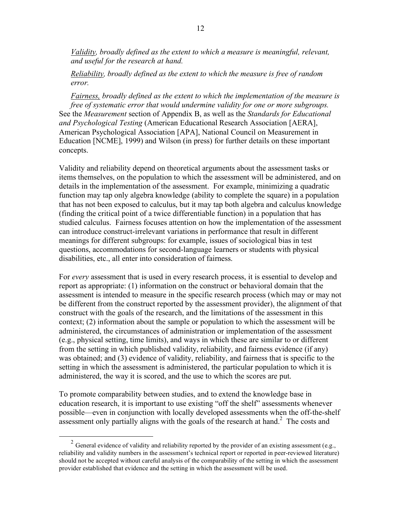*Validity, broadly defined as the extent to which a measure is meaningful, relevant, and useful for the research at hand.*

#### *Reliability, broadly defined as the extent to which the measure is free of random error.*

*Fairness, broadly defined as the extent to which the implementation of the measure is free of systematic error that would undermine validity for one or more subgroups.* See the *Measurement* section of Appendix B, as well as the *Standards for Educational and Psychological Testing* (American Educational Research Association [AERA], American Psychological Association [APA], National Council on Measurement in Education [NCME], 1999) and Wilson (in press) for further details on these important concepts.

Validity and reliability depend on theoretical arguments about the assessment tasks or items themselves, on the population to which the assessment will be administered, and on details in the implementation of the assessment. For example, minimizing a quadratic function may tap only algebra knowledge (ability to complete the square) in a population that has not been exposed to calculus, but it may tap both algebra and calculus knowledge (finding the critical point of a twice differentiable function) in a population that has studied calculus. Fairness focuses attention on how the implementation of the assessment can introduce construct-irrelevant variations in performance that result in different meanings for different subgroups: for example, issues of sociological bias in test questions, accommodations for second-language learners or students with physical disabilities, etc., all enter into consideration of fairness.

For *every* assessment that is used in every research process, it is essential to develop and report as appropriate: (1) information on the construct or behavioral domain that the assessment is intended to measure in the specific research process (which may or may not be different from the construct reported by the assessment provider), the alignment of that construct with the goals of the research, and the limitations of the assessment in this context; (2) information about the sample or population to which the assessment will be administered, the circumstances of administration or implementation of the assessment (e.g., physical setting, time limits), and ways in which these are similar to or different from the setting in which published validity, reliability, and fairness evidence (if any) was obtained; and (3) evidence of validity, reliability, and fairness that is specific to the setting in which the assessment is administered, the particular population to which it is administered, the way it is scored, and the use to which the scores are put.

To promote comparability between studies, and to extend the knowledge base in education research, it is important to use existing "off the shelf" assessments whenever possible—even in conjunction with locally developed assessments when the off-the-shelf assessment only partially aligns with the goals of the research at hand.<sup>2</sup> The costs and

<sup>&</sup>lt;sup>2</sup> General evidence of validity and reliability reported by the provider of an existing assessment (e.g., reliability and validity numbers in the assessment's technical report or reported in peer-reviewed literature) should not be accepted without careful analysis of the comparability of the setting in which the assessment provider established that evidence and the setting in which the assessment will be used.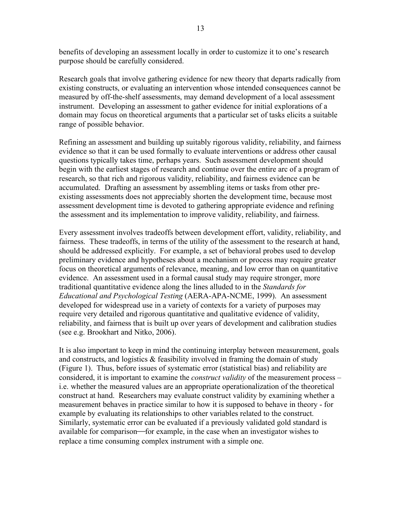benefits of developing an assessment locally in order to customize it to one's research purpose should be carefully considered.

Research goals that involve gathering evidence for new theory that departs radically from existing constructs, or evaluating an intervention whose intended consequences cannot be measured by off-the-shelf assessments, may demand development of a local assessment instrument. Developing an assessment to gather evidence for initial explorations of a domain may focus on theoretical arguments that a particular set of tasks elicits a suitable range of possible behavior.

Refining an assessment and building up suitably rigorous validity, reliability, and fairness evidence so that it can be used formally to evaluate interventions or address other causal questions typically takes time, perhaps years. Such assessment development should begin with the earliest stages of research and continue over the entire arc of a program of research, so that rich and rigorous validity, reliability, and fairness evidence can be accumulated. Drafting an assessment by assembling items or tasks from other preexisting assessments does not appreciably shorten the development time, because most assessment development time is devoted to gathering appropriate evidence and refining the assessment and its implementation to improve validity, reliability, and fairness.

Every assessment involves tradeoffs between development effort, validity, reliability, and fairness. These tradeoffs, in terms of the utility of the assessment to the research at hand, should be addressed explicitly. For example, a set of behavioral probes used to develop preliminary evidence and hypotheses about a mechanism or process may require greater focus on theoretical arguments of relevance, meaning, and low error than on quantitative evidence. An assessment used in a formal causal study may require stronger, more traditional quantitative evidence along the lines alluded to in the *Standards for Educational and Psychological Testing* (AERA-APA-NCME, 1999). An assessment developed for widespread use in a variety of contexts for a variety of purposes may require very detailed and rigorous quantitative and qualitative evidence of validity, reliability, and fairness that is built up over years of development and calibration studies (see e.g. Brookhart and Nitko, 2006).

It is also important to keep in mind the continuing interplay between measurement, goals and constructs, and logistics & feasibility involved in framing the domain of study (Figure 1). Thus, before issues of systematic error (statistical bias) and reliability are considered, it is important to examine the *construct validity* of the measurement process – i.e. whether the measured values are an appropriate operationalization of the theoretical construct at hand. Researchers may evaluate construct validity by examining whether a measurement behaves in practice similar to how it is supposed to behave in theory - for example by evaluating its relationships to other variables related to the construct. Similarly, systematic error can be evaluated if a previously validated gold standard is available for comparison—for example, in the case when an investigator wishes to replace a time consuming complex instrument with a simple one.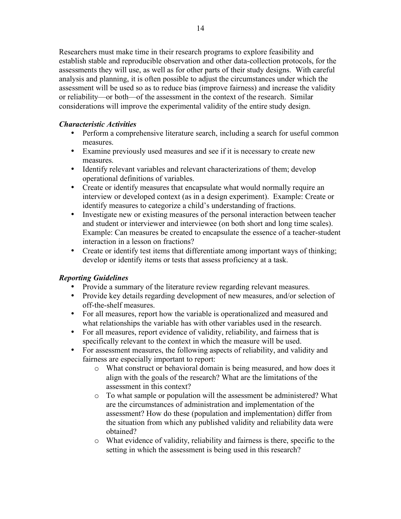Researchers must make time in their research programs to explore feasibility and establish stable and reproducible observation and other data-collection protocols, for the assessments they will use, as well as for other parts of their study designs. With careful analysis and planning, it is often possible to adjust the circumstances under which the assessment will be used so as to reduce bias (improve fairness) and increase the validity or reliability—or both—of the assessment in the context of the research. Similar considerations will improve the experimental validity of the entire study design.

# *Characteristic Activities*

- Perform a comprehensive literature search, including a search for useful common measures.
- Examine previously used measures and see if it is necessary to create new measures.
- Identify relevant variables and relevant characterizations of them; develop operational definitions of variables.
- Create or identify measures that encapsulate what would normally require an interview or developed context (as in a design experiment). Example: Create or identify measures to categorize a child's understanding of fractions.
- Investigate new or existing measures of the personal interaction between teacher and student or interviewer and interviewee (on both short and long time scales). Example: Can measures be created to encapsulate the essence of a teacher-student interaction in a lesson on fractions?
- Create or identify test items that differentiate among important ways of thinking; develop or identify items or tests that assess proficiency at a task.

# *Reporting Guidelines*

- Provide a summary of the literature review regarding relevant measures.
- Provide key details regarding development of new measures, and/or selection of off-the-shelf measures.
- For all measures, report how the variable is operationalized and measured and what relationships the variable has with other variables used in the research.
- For all measures, report evidence of validity, reliability, and fairness that is specifically relevant to the context in which the measure will be used.
- For assessment measures, the following aspects of reliability, and validity and fairness are especially important to report:
	- o What construct or behavioral domain is being measured, and how does it align with the goals of the research? What are the limitations of the assessment in this context?
	- o To what sample or population will the assessment be administered? What are the circumstances of administration and implementation of the assessment? How do these (population and implementation) differ from the situation from which any published validity and reliability data were obtained?
	- o What evidence of validity, reliability and fairness is there, specific to the setting in which the assessment is being used in this research?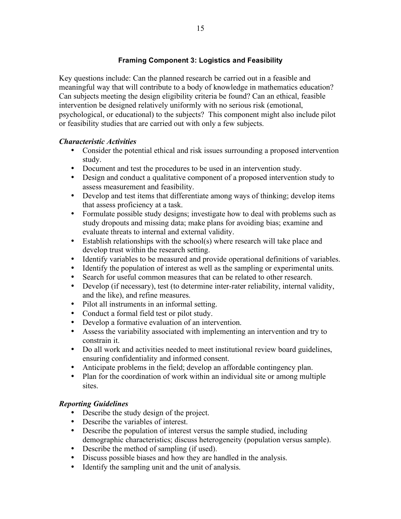# **Framing Component 3: Logistics and Feasibility**

Key questions include: Can the planned research be carried out in a feasible and meaningful way that will contribute to a body of knowledge in mathematics education? Can subjects meeting the design eligibility criteria be found? Can an ethical, feasible intervention be designed relatively uniformly with no serious risk (emotional, psychological, or educational) to the subjects? This component might also include pilot or feasibility studies that are carried out with only a few subjects.

# *Characteristic Activities*

- Consider the potential ethical and risk issues surrounding a proposed intervention study.
- Document and test the procedures to be used in an intervention study.
- Design and conduct a qualitative component of a proposed intervention study to assess measurement and feasibility.
- Develop and test items that differentiate among ways of thinking; develop items that assess proficiency at a task.
- Formulate possible study designs; investigate how to deal with problems such as study dropouts and missing data; make plans for avoiding bias; examine and evaluate threats to internal and external validity.
- Establish relationships with the school(s) where research will take place and develop trust within the research setting.
- Identify variables to be measured and provide operational definitions of variables.
- Identify the population of interest as well as the sampling or experimental units.
- Search for useful common measures that can be related to other research.
- Develop (if necessary), test (to determine inter-rater reliability, internal validity, and the like), and refine measures.
- Pilot all instruments in an informal setting.
- Conduct a formal field test or pilot study.
- Develop a formative evaluation of an intervention.
- Assess the variability associated with implementing an intervention and try to constrain it.
- Do all work and activities needed to meet institutional review board guidelines, ensuring confidentiality and informed consent.
- Anticipate problems in the field; develop an affordable contingency plan.
- Plan for the coordination of work within an individual site or among multiple sites.

# *Reporting Guidelines*

- Describe the study design of the project.
- Describe the variables of interest.
- Describe the population of interest versus the sample studied, including demographic characteristics; discuss heterogeneity (population versus sample).
- Describe the method of sampling (if used).
- Discuss possible biases and how they are handled in the analysis.
- Identify the sampling unit and the unit of analysis.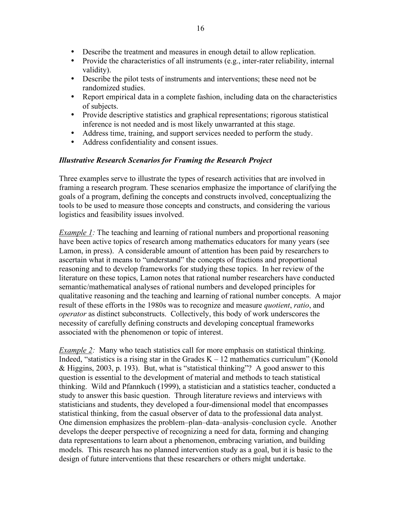- Describe the treatment and measures in enough detail to allow replication.
- Provide the characteristics of all instruments (e.g., inter-rater reliability, internal validity).
- Describe the pilot tests of instruments and interventions; these need not be randomized studies.
- Report empirical data in a complete fashion, including data on the characteristics of subjects.
- Provide descriptive statistics and graphical representations; rigorous statistical inference is not needed and is most likely unwarranted at this stage.
- Address time, training, and support services needed to perform the study.
- Address confidentiality and consent issues.

#### *Illustrative Research Scenarios for Framing the Research Project*

Three examples serve to illustrate the types of research activities that are involved in framing a research program. These scenarios emphasize the importance of clarifying the goals of a program, defining the concepts and constructs involved, conceptualizing the tools to be used to measure those concepts and constructs, and considering the various logistics and feasibility issues involved.

*Example 1:* The teaching and learning of rational numbers and proportional reasoning have been active topics of research among mathematics educators for many years (see Lamon, in press). A considerable amount of attention has been paid by researchers to ascertain what it means to "understand" the concepts of fractions and proportional reasoning and to develop frameworks for studying these topics. In her review of the literature on these topics, Lamon notes that rational number researchers have conducted semantic/mathematical analyses of rational numbers and developed principles for qualitative reasoning and the teaching and learning of rational number concepts. A major result of these efforts in the 1980s was to recognize and measure *quotient*, *ratio*, and *operator* as distinct subconstructs. Collectively, this body of work underscores the necessity of carefully defining constructs and developing conceptual frameworks associated with the phenomenon or topic of interest.

*Example* 2: Many who teach statistics call for more emphasis on statistical thinking. Indeed, "statistics is a rising star in the Grades  $K - 12$  mathematics curriculum" (Konold & Higgins, 2003, p. 193). But, what is "statistical thinking"? A good answer to this question is essential to the development of material and methods to teach statistical thinking. Wild and Pfannkuch (1999), a statistician and a statistics teacher, conducted a study to answer this basic question. Through literature reviews and interviews with statisticians and students, they developed a four-dimensional model that encompasses statistical thinking, from the casual observer of data to the professional data analyst. One dimension emphasizes the problem–plan–data–analysis–conclusion cycle. Another develops the deeper perspective of recognizing a need for data, forming and changing data representations to learn about a phenomenon, embracing variation, and building models. This research has no planned intervention study as a goal, but it is basic to the design of future interventions that these researchers or others might undertake.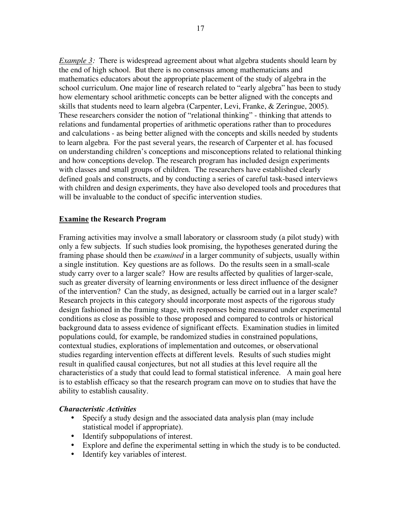*Example* 3: There is widespread agreement about what algebra students should learn by the end of high school. But there is no consensus among mathematicians and mathematics educators about the appropriate placement of the study of algebra in the school curriculum. One major line of research related to "early algebra" has been to study how elementary school arithmetic concepts can be better aligned with the concepts and skills that students need to learn algebra (Carpenter, Levi, Franke, & Zeringue, 2005). These researchers consider the notion of "relational thinking" - thinking that attends to relations and fundamental properties of arithmetic operations rather than to procedures and calculations - as being better aligned with the concepts and skills needed by students to learn algebra. For the past several years, the research of Carpenter et al. has focused on understanding children's conceptions and misconceptions related to relational thinking and how conceptions develop. The research program has included design experiments with classes and small groups of children. The researchers have established clearly defined goals and constructs, and by conducting a series of careful task-based interviews with children and design experiments, they have also developed tools and procedures that will be invaluable to the conduct of specific intervention studies.

# **Examine the Research Program**

Framing activities may involve a small laboratory or classroom study (a pilot study) with only a few subjects. If such studies look promising, the hypotheses generated during the framing phase should then be *examined* in a larger community of subjects, usually within a single institution. Key questions are as follows. Do the results seen in a small-scale study carry over to a larger scale? How are results affected by qualities of larger-scale, such as greater diversity of learning environments or less direct influence of the designer of the intervention? Can the study, as designed, actually be carried out in a larger scale? Research projects in this category should incorporate most aspects of the rigorous study design fashioned in the framing stage, with responses being measured under experimental conditions as close as possible to those proposed and compared to controls or historical background data to assess evidence of significant effects. Examination studies in limited populations could, for example, be randomized studies in constrained populations, contextual studies, explorations of implementation and outcomes, or observational studies regarding intervention effects at different levels. Results of such studies might result in qualified causal conjectures, but not all studies at this level require all the characteristics of a study that could lead to formal statistical inference. A main goal here is to establish efficacy so that the research program can move on to studies that have the ability to establish causality.

#### *Characteristic Activities*

- Specify a study design and the associated data analysis plan (may include statistical model if appropriate).
- Identify subpopulations of interest.
- Explore and define the experimental setting in which the study is to be conducted.
- Identify key variables of interest.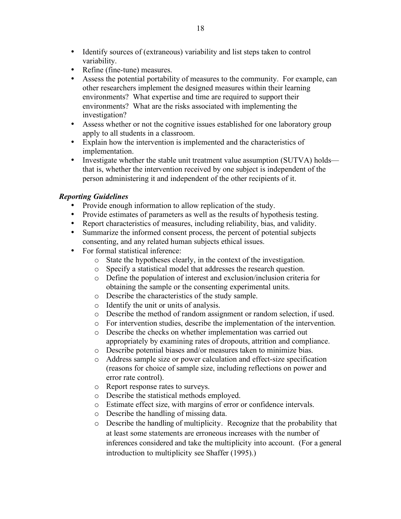- Identify sources of (extraneous) variability and list steps taken to control variability.
- Refine (fine-tune) measures.
- Assess the potential portability of measures to the community. For example, can other researchers implement the designed measures within their learning environments? What expertise and time are required to support their environments? What are the risks associated with implementing the investigation?
- Assess whether or not the cognitive issues established for one laboratory group apply to all students in a classroom.
- Explain how the intervention is implemented and the characteristics of implementation.
- Investigate whether the stable unit treatment value assumption (SUTVA) holds that is, whether the intervention received by one subject is independent of the person administering it and independent of the other recipients of it.

# *Reporting Guidelines*

- Provide enough information to allow replication of the study.
- Provide estimates of parameters as well as the results of hypothesis testing.
- Report characteristics of measures, including reliability, bias, and validity.
- Summarize the informed consent process, the percent of potential subjects consenting, and any related human subjects ethical issues.
- For formal statistical inference:
	- o State the hypotheses clearly, in the context of the investigation.
	- o Specify a statistical model that addresses the research question.
	- o Define the population of interest and exclusion/inclusion criteria for obtaining the sample or the consenting experimental units.
	- o Describe the characteristics of the study sample.
	- o Identify the unit or units of analysis.
	- o Describe the method of random assignment or random selection, if used.
	- o For intervention studies, describe the implementation of the intervention.
	- o Describe the checks on whether implementation was carried out appropriately by examining rates of dropouts, attrition and compliance.
	- o Describe potential biases and/or measures taken to minimize bias.
	- o Address sample size or power calculation and effect-size specification (reasons for choice of sample size, including reflections on power and error rate control).
	- o Report response rates to surveys.
	- o Describe the statistical methods employed.
	- o Estimate effect size, with margins of error or confidence intervals.
	- o Describe the handling of missing data.
	- o Describe the handling of multiplicity. Recognize that the probability that at least some statements are erroneous increases with the number of inferences considered and take the multiplicity into account. (For a general introduction to multiplicity see Shaffer (1995).)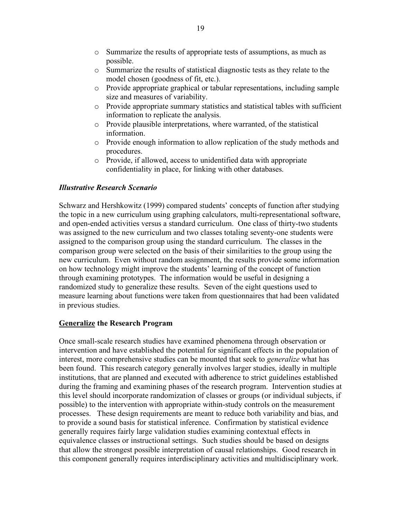- o Summarize the results of appropriate tests of assumptions, as much as possible.
- o Summarize the results of statistical diagnostic tests as they relate to the model chosen (goodness of fit, etc.).
- $\circ$  Provide appropriate graphical or tabular representations, including sample size and measures of variability.
- o Provide appropriate summary statistics and statistical tables with sufficient information to replicate the analysis.
- o Provide plausible interpretations, where warranted, of the statistical information.
- o Provide enough information to allow replication of the study methods and procedures.
- o Provide, if allowed, access to unidentified data with appropriate confidentiality in place, for linking with other databases.

# *Illustrative Research Scenario*

Schwarz and Hershkowitz (1999) compared students' concepts of function after studying the topic in a new curriculum using graphing calculators, multi-representational software, and open-ended activities versus a standard curriculum. One class of thirty-two students was assigned to the new curriculum and two classes totaling seventy-one students were assigned to the comparison group using the standard curriculum. The classes in the comparison group were selected on the basis of their similarities to the group using the new curriculum. Even without random assignment, the results provide some information on how technology might improve the students' learning of the concept of function through examining prototypes. The information would be useful in designing a randomized study to generalize these results. Seven of the eight questions used to measure learning about functions were taken from questionnaires that had been validated in previous studies.

# **Generalize the Research Program**

Once small-scale research studies have examined phenomena through observation or intervention and have established the potential for significant effects in the population of interest, more comprehensive studies can be mounted that seek to *generalize* what has been found. This research category generally involves larger studies, ideally in multiple institutions, that are planned and executed with adherence to strict guidelines established during the framing and examining phases of the research program. Intervention studies at this level should incorporate randomization of classes or groups (or individual subjects, if possible) to the intervention with appropriate within-study controls on the measurement processes. These design requirements are meant to reduce both variability and bias, and to provide a sound basis for statistical inference. Confirmation by statistical evidence generally requires fairly large validation studies examining contextual effects in equivalence classes or instructional settings. Such studies should be based on designs that allow the strongest possible interpretation of causal relationships. Good research in this component generally requires interdisciplinary activities and multidisciplinary work.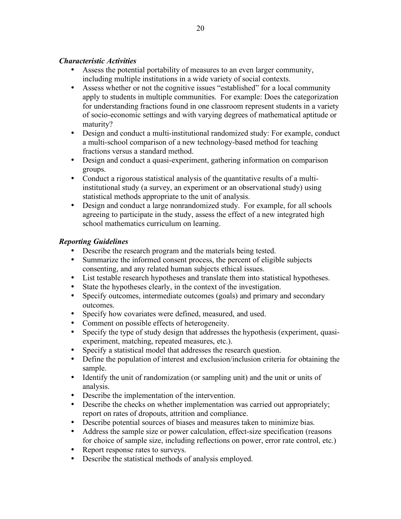# *Characteristic Activities*

- Assess the potential portability of measures to an even larger community, including multiple institutions in a wide variety of social contexts.
- Assess whether or not the cognitive issues "established" for a local community apply to students in multiple communities. For example: Does the categorization for understanding fractions found in one classroom represent students in a variety of socio-economic settings and with varying degrees of mathematical aptitude or maturity?
- Design and conduct a multi-institutional randomized study: For example, conduct a multi-school comparison of a new technology-based method for teaching fractions versus a standard method.
- Design and conduct a quasi-experiment, gathering information on comparison groups.
- Conduct a rigorous statistical analysis of the quantitative results of a multiinstitutional study (a survey, an experiment or an observational study) using statistical methods appropriate to the unit of analysis.
- Design and conduct a large nonrandomized study. For example, for all schools agreeing to participate in the study, assess the effect of a new integrated high school mathematics curriculum on learning.

# *Reporting Guidelines*

- Describe the research program and the materials being tested.
- Summarize the informed consent process, the percent of eligible subjects consenting, and any related human subjects ethical issues.
- List testable research hypotheses and translate them into statistical hypotheses.
- State the hypotheses clearly, in the context of the investigation.
- Specify outcomes, intermediate outcomes (goals) and primary and secondary outcomes.
- Specify how covariates were defined, measured, and used.
- Comment on possible effects of heterogeneity.
- Specify the type of study design that addresses the hypothesis (experiment, quasiexperiment, matching, repeated measures, etc.).
- Specify a statistical model that addresses the research question.
- Define the population of interest and exclusion/inclusion criteria for obtaining the sample.
- Identify the unit of randomization (or sampling unit) and the unit or units of analysis.
- Describe the implementation of the intervention.
- Describe the checks on whether implementation was carried out appropriately; report on rates of dropouts, attrition and compliance.
- Describe potential sources of biases and measures taken to minimize bias.
- Address the sample size or power calculation, effect-size specification (reasons for choice of sample size, including reflections on power, error rate control, etc.)
- Report response rates to surveys.
- Describe the statistical methods of analysis employed.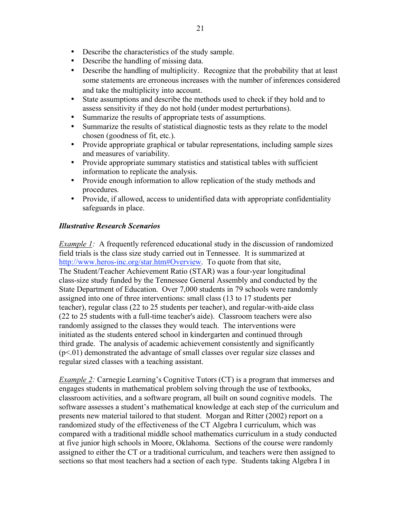- Describe the characteristics of the study sample.
- Describe the handling of missing data.
- Describe the handling of multiplicity. Recognize that the probability that at least some statements are erroneous increases with the number of inferences considered and take the multiplicity into account.
- State assumptions and describe the methods used to check if they hold and to assess sensitivity if they do not hold (under modest perturbations).
- Summarize the results of appropriate tests of assumptions.
- Summarize the results of statistical diagnostic tests as they relate to the model chosen (goodness of fit, etc.).
- Provide appropriate graphical or tabular representations, including sample sizes and measures of variability.
- Provide appropriate summary statistics and statistical tables with sufficient information to replicate the analysis.
- Provide enough information to allow replication of the study methods and procedures.
- Provide, if allowed, access to unidentified data with appropriate confidentiality safeguards in place.

# *Illustrative Research Scenarios*

*Example 1:* A frequently referenced educational study in the discussion of randomized field trials is the class size study carried out in Tennessee. It is summarized at http://www.heros-inc.org/star.htm#Overview. To quote from that site, The Student/Teacher Achievement Ratio (STAR) was a four-year longitudinal class-size study funded by the Tennessee General Assembly and conducted by the State Department of Education. Over 7,000 students in 79 schools were randomly assigned into one of three interventions: small class (13 to 17 students per teacher), regular class (22 to 25 students per teacher), and regular-with-aide class (22 to 25 students with a full-time teacher's aide). Classroom teachers were also randomly assigned to the classes they would teach. The interventions were initiated as the students entered school in kindergarten and continued through third grade. The analysis of academic achievement consistently and significantly (p<.01) demonstrated the advantage of small classes over regular size classes and regular sized classes with a teaching assistant.

*Example* 2: Carnegie Learning's Cognitive Tutors (CT) is a program that immerses and engages students in mathematical problem solving through the use of textbooks, classroom activities, and a software program, all built on sound cognitive models. The software assesses a student's mathematical knowledge at each step of the curriculum and presents new material tailored to that student. Morgan and Ritter (2002) report on a randomized study of the effectiveness of the CT Algebra I curriculum, which was compared with a traditional middle school mathematics curriculum in a study conducted at five junior high schools in Moore, Oklahoma. Sections of the course were randomly assigned to either the CT or a traditional curriculum, and teachers were then assigned to sections so that most teachers had a section of each type. Students taking Algebra I in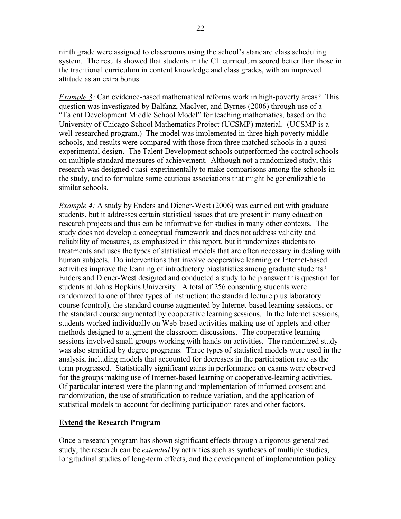ninth grade were assigned to classrooms using the school's standard class scheduling system. The results showed that students in the CT curriculum scored better than those in the traditional curriculum in content knowledge and class grades, with an improved attitude as an extra bonus.

*Example* 3: Can evidence-based mathematical reforms work in high-poverty areas? This question was investigated by Balfanz, MacIver, and Byrnes (2006) through use of a "Talent Development Middle School Model" for teaching mathematics, based on the University of Chicago School Mathematics Project (UCSMP) material. (UCSMP is a well-researched program.) The model was implemented in three high poverty middle schools, and results were compared with those from three matched schools in a quasiexperimental design. The Talent Development schools outperformed the control schools on multiple standard measures of achievement. Although not a randomized study, this research was designed quasi-experimentally to make comparisons among the schools in the study, and to formulate some cautious associations that might be generalizable to similar schools.

*Example 4:* A study by Enders and Diener-West (2006) was carried out with graduate students, but it addresses certain statistical issues that are present in many education research projects and thus can be informative for studies in many other contexts. The study does not develop a conceptual framework and does not address validity and reliability of measures, as emphasized in this report, but it randomizes students to treatments and uses the types of statistical models that are often necessary in dealing with human subjects. Do interventions that involve cooperative learning or Internet-based activities improve the learning of introductory biostatistics among graduate students? Enders and Diener-West designed and conducted a study to help answer this question for students at Johns Hopkins University. A total of 256 consenting students were randomized to one of three types of instruction: the standard lecture plus laboratory course (control), the standard course augmented by Internet-based learning sessions, or the standard course augmented by cooperative learning sessions. In the Internet sessions, students worked individually on Web-based activities making use of applets and other methods designed to augment the classroom discussions. The cooperative learning sessions involved small groups working with hands-on activities. The randomized study was also stratified by degree programs. Three types of statistical models were used in the analysis, including models that accounted for decreases in the participation rate as the term progressed. Statistically significant gains in performance on exams were observed for the groups making use of Internet-based learning or cooperative-learning activities. Of particular interest were the planning and implementation of informed consent and randomization, the use of stratification to reduce variation, and the application of statistical models to account for declining participation rates and other factors.

#### **Extend the Research Program**

Once a research program has shown significant effects through a rigorous generalized study, the research can be *extended* by activities such as syntheses of multiple studies, longitudinal studies of long-term effects, and the development of implementation policy.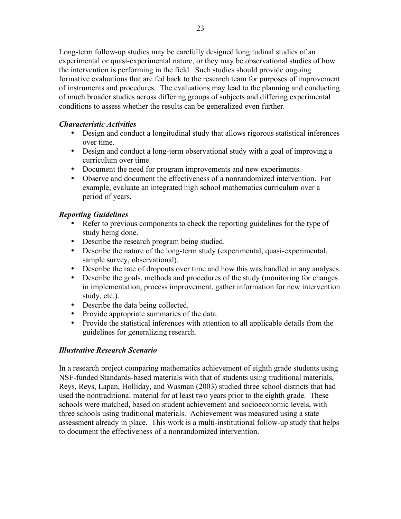Long-term follow-up studies may be carefully designed longitudinal studies of an experimental or quasi-experimental nature, or they may be observational studies of how the intervention is performing in the field. Such studies should provide ongoing formative evaluations that are fed back to the research team for purposes of improvement of instruments and procedures. The evaluations may lead to the planning and conducting of much broader studies across differing groups of subjects and differing experimental conditions to assess whether the results can be generalized even further.

# *Characteristic Activities*

- Design and conduct a longitudinal study that allows rigorous statistical inferences over time.
- Design and conduct a long-term observational study with a goal of improving a curriculum over time.
- Document the need for program improvements and new experiments.
- Observe and document the effectiveness of a nonrandomized intervention. For example, evaluate an integrated high school mathematics curriculum over a period of years.

# *Reporting Guidelines*

- Refer to previous components to check the reporting guidelines for the type of study being done.
- Describe the research program being studied.
- Describe the nature of the long-term study (experimental, quasi-experimental, sample survey, observational).
- Describe the rate of dropouts over time and how this was handled in any analyses.
- Describe the goals, methods and procedures of the study (monitoring for changes in implementation, process improvement, gather information for new intervention study, etc.).
- Describe the data being collected.
- Provide appropriate summaries of the data.
- Provide the statistical inferences with attention to all applicable details from the guidelines for generalizing research.

# *Illustrative Research Scenario*

In a research project comparing mathematics achievement of eighth grade students using NSF-funded Standards-based materials with that of students using traditional materials, Reys, Reys, Lapan, Holliday, and Wasman (2003) studied three school districts that had used the nontraditional material for at least two years prior to the eighth grade. These schools were matched, based on student achievement and socioeconomic levels, with three schools using traditional materials. Achievement was measured using a state assessment already in place. This work is a multi-institutional follow-up study that helps to document the effectiveness of a nonrandomized intervention.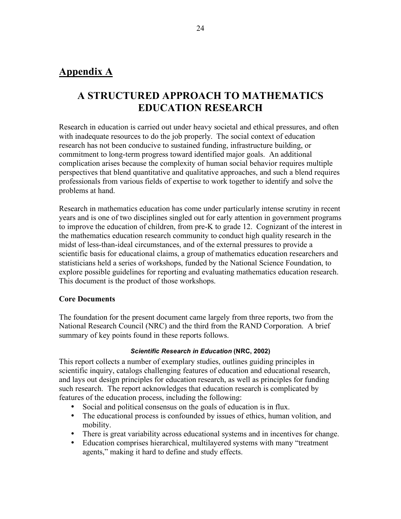# **Appendix A**

# **A STRUCTURED APPROACH TO MATHEMATICS EDUCATION RESEARCH**

Research in education is carried out under heavy societal and ethical pressures, and often with inadequate resources to do the job properly. The social context of education research has not been conducive to sustained funding, infrastructure building, or commitment to long-term progress toward identified major goals. An additional complication arises because the complexity of human social behavior requires multiple perspectives that blend quantitative and qualitative approaches, and such a blend requires professionals from various fields of expertise to work together to identify and solve the problems at hand.

Research in mathematics education has come under particularly intense scrutiny in recent years and is one of two disciplines singled out for early attention in government programs to improve the education of children, from pre-K to grade 12. Cognizant of the interest in the mathematics education research community to conduct high quality research in the midst of less-than-ideal circumstances, and of the external pressures to provide a scientific basis for educational claims, a group of mathematics education researchers and statisticians held a series of workshops, funded by the National Science Foundation, to explore possible guidelines for reporting and evaluating mathematics education research. This document is the product of those workshops.

#### **Core Documents**

The foundation for the present document came largely from three reports, two from the National Research Council (NRC) and the third from the RAND Corporation. A brief summary of key points found in these reports follows.

#### *Scientific Research in Education* **(NRC, 2002)**

This report collects a number of exemplary studies, outlines guiding principles in scientific inquiry, catalogs challenging features of education and educational research, and lays out design principles for education research, as well as principles for funding such research. The report acknowledges that education research is complicated by features of the education process, including the following:

- Social and political consensus on the goals of education is in flux.
- The educational process is confounded by issues of ethics, human volition, and mobility.
- There is great variability across educational systems and in incentives for change.
- Education comprises hierarchical, multilayered systems with many "treatment agents," making it hard to define and study effects.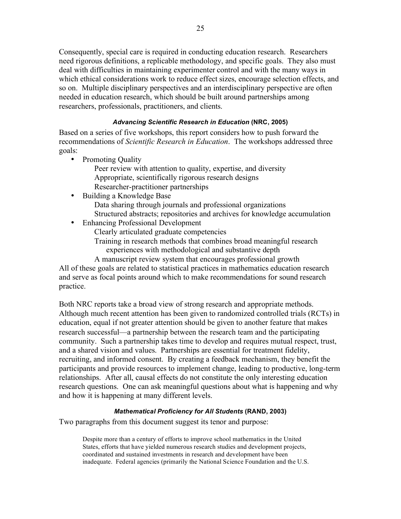Consequently, special care is required in conducting education research. Researchers need rigorous definitions, a replicable methodology, and specific goals. They also must deal with difficulties in maintaining experimenter control and with the many ways in which ethical considerations work to reduce effect sizes, encourage selection effects, and so on. Multiple disciplinary perspectives and an interdisciplinary perspective are often needed in education research, which should be built around partnerships among researchers, professionals, practitioners, and clients.

#### *Advancing Scientific Research in Education* **(NRC, 2005)**

Based on a series of five workshops, this report considers how to push forward the recommendations of *Scientific Research in Education*. The workshops addressed three goals:

• Promoting Quality

Peer review with attention to quality, expertise, and diversity Appropriate, scientifically rigorous research designs Researcher-practitioner partnerships

- Building a Knowledge Base Data sharing through journals and professional organizations Structured abstracts; repositories and archives for knowledge accumulation
- Enhancing Professional Development
	- Clearly articulated graduate competencies
	- Training in research methods that combines broad meaningful research experiences with methodological and substantive depth

A manuscript review system that encourages professional growth All of these goals are related to statistical practices in mathematics education research and serve as focal points around which to make recommendations for sound research practice.

Both NRC reports take a broad view of strong research and appropriate methods. Although much recent attention has been given to randomized controlled trials (RCTs) in education, equal if not greater attention should be given to another feature that makes research successful—a partnership between the research team and the participating community. Such a partnership takes time to develop and requires mutual respect, trust, and a shared vision and values. Partnerships are essential for treatment fidelity, recruiting, and informed consent. By creating a feedback mechanism, they benefit the participants and provide resources to implement change, leading to productive, long-term relationships. After all, causal effects do not constitute the only interesting education research questions. One can ask meaningful questions about what is happening and why and how it is happening at many different levels.

#### *Mathematical Proficiency for All Students* **(RAND, 2003)**

Two paragraphs from this document suggest its tenor and purpose:

Despite more than a century of efforts to improve school mathematics in the United States, efforts that have yielded numerous research studies and development projects, coordinated and sustained investments in research and development have been inadequate. Federal agencies (primarily the National Science Foundation and the U.S.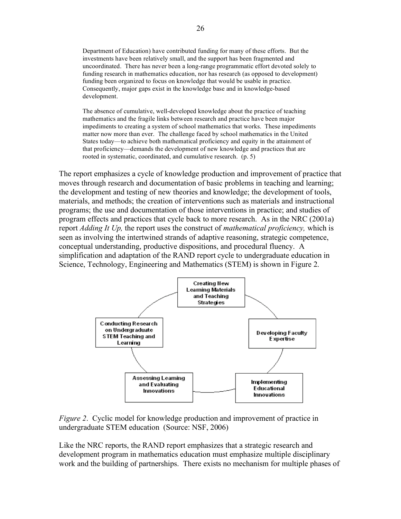Department of Education) have contributed funding for many of these efforts. But the investments have been relatively small, and the support has been fragmented and uncoordinated. There has never been a long-range programmatic effort devoted solely to funding research in mathematics education, nor has research (as opposed to development) funding been organized to focus on knowledge that would be usable in practice. Consequently, major gaps exist in the knowledge base and in knowledge-based development.

The absence of cumulative, well-developed knowledge about the practice of teaching mathematics and the fragile links between research and practice have been major impediments to creating a system of school mathematics that works. These impediments matter now more than ever. The challenge faced by school mathematics in the United States today—to achieve both mathematical proficiency and equity in the attainment of that proficiency—demands the development of new knowledge and practices that are rooted in systematic, coordinated, and cumulative research. (p. 5)

The report emphasizes a cycle of knowledge production and improvement of practice that moves through research and documentation of basic problems in teaching and learning; the development and testing of new theories and knowledge; the development of tools, materials, and methods; the creation of interventions such as materials and instructional programs; the use and documentation of those interventions in practice; and studies of program effects and practices that cycle back to more research. As in the NRC (2001a) report *Adding It Up,* the report uses the construct of *mathematical proficiency,* which is seen as involving the intertwined strands of adaptive reasoning, strategic competence, conceptual understanding, productive dispositions, and procedural fluency. A simplification and adaptation of the RAND report cycle to undergraduate education in Science, Technology, Engineering and Mathematics (STEM) is shown in Figure 2.



*Figure 2*. Cyclic model for knowledge production and improvement of practice in undergraduate STEM education (Source: NSF, 2006)

Like the NRC reports, the RAND report emphasizes that a strategic research and development program in mathematics education must emphasize multiple disciplinary work and the building of partnerships. There exists no mechanism for multiple phases of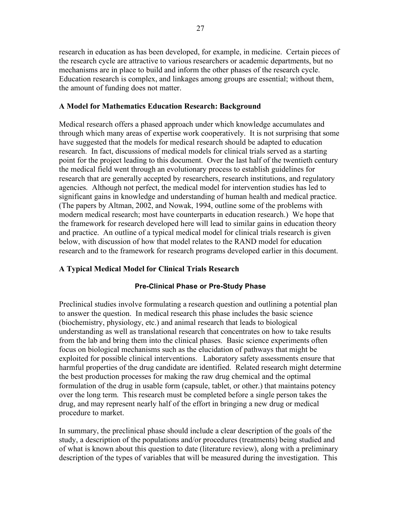research in education as has been developed, for example, in medicine. Certain pieces of the research cycle are attractive to various researchers or academic departments, but no mechanisms are in place to build and inform the other phases of the research cycle. Education research is complex, and linkages among groups are essential; without them, the amount of funding does not matter.

#### **A Model for Mathematics Education Research: Background**

Medical research offers a phased approach under which knowledge accumulates and through which many areas of expertise work cooperatively. It is not surprising that some have suggested that the models for medical research should be adapted to education research. In fact, discussions of medical models for clinical trials served as a starting point for the project leading to this document. Over the last half of the twentieth century the medical field went through an evolutionary process to establish guidelines for research that are generally accepted by researchers, research institutions, and regulatory agencies. Although not perfect, the medical model for intervention studies has led to significant gains in knowledge and understanding of human health and medical practice. (The papers by Altman, 2002, and Nowak, 1994, outline some of the problems with modern medical research; most have counterparts in education research.) We hope that the framework for research developed here will lead to similar gains in education theory and practice. An outline of a typical medical model for clinical trials research is given below, with discussion of how that model relates to the RAND model for education research and to the framework for research programs developed earlier in this document.

# **A Typical Medical Model for Clinical Trials Research**

#### **Pre-Clinical Phase or Pre-Study Phase**

Preclinical studies involve formulating a research question and outlining a potential plan to answer the question. In medical research this phase includes the basic science (biochemistry, physiology, etc.) and animal research that leads to biological understanding as well as translational research that concentrates on how to take results from the lab and bring them into the clinical phases. Basic science experiments often focus on biological mechanisms such as the elucidation of pathways that might be exploited for possible clinical interventions. Laboratory safety assessments ensure that harmful properties of the drug candidate are identified. Related research might determine the best production processes for making the raw drug chemical and the optimal formulation of the drug in usable form (capsule, tablet, or other.) that maintains potency over the long term. This research must be completed before a single person takes the drug, and may represent nearly half of the effort in bringing a new drug or medical procedure to market.

In summary, the preclinical phase should include a clear description of the goals of the study, a description of the populations and/or procedures (treatments) being studied and of what is known about this question to date (literature review), along with a preliminary description of the types of variables that will be measured during the investigation. This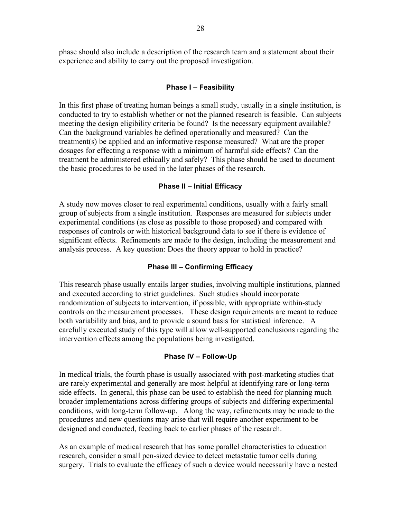phase should also include a description of the research team and a statement about their experience and ability to carry out the proposed investigation.

#### **Phase I – Feasibility**

In this first phase of treating human beings a small study, usually in a single institution, is conducted to try to establish whether or not the planned research is feasible. Can subjects meeting the design eligibility criteria be found? Is the necessary equipment available? Can the background variables be defined operationally and measured? Can the treatment(s) be applied and an informative response measured? What are the proper dosages for effecting a response with a minimum of harmful side effects? Can the treatment be administered ethically and safely? This phase should be used to document the basic procedures to be used in the later phases of the research.

#### **Phase II – Initial Efficacy**

A study now moves closer to real experimental conditions, usually with a fairly small group of subjects from a single institution. Responses are measured for subjects under experimental conditions (as close as possible to those proposed) and compared with responses of controls or with historical background data to see if there is evidence of significant effects. Refinements are made to the design, including the measurement and analysis process. A key question: Does the theory appear to hold in practice?

#### **Phase III – Confirming Efficacy**

This research phase usually entails larger studies, involving multiple institutions, planned and executed according to strict guidelines. Such studies should incorporate randomization of subjects to intervention, if possible, with appropriate within-study controls on the measurement processes. These design requirements are meant to reduce both variability and bias, and to provide a sound basis for statistical inference. A carefully executed study of this type will allow well-supported conclusions regarding the intervention effects among the populations being investigated.

#### **Phase IV – Follow-Up**

In medical trials, the fourth phase is usually associated with post-marketing studies that are rarely experimental and generally are most helpful at identifying rare or long-term side effects. In general, this phase can be used to establish the need for planning much broader implementations across differing groups of subjects and differing experimental conditions, with long-term follow-up. Along the way, refinements may be made to the procedures and new questions may arise that will require another experiment to be designed and conducted, feeding back to earlier phases of the research.

As an example of medical research that has some parallel characteristics to education research, consider a small pen-sized device to detect metastatic tumor cells during surgery. Trials to evaluate the efficacy of such a device would necessarily have a nested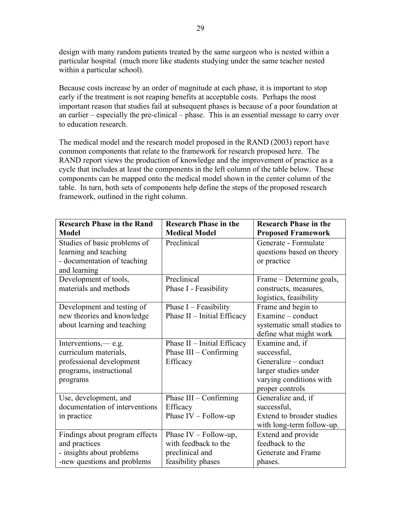design with many random patients treated by the same surgeon who is nested within a particular hospital (much more like students studying under the same teacher nested within a particular school).

Because costs increase by an order of magnitude at each phase, it is important to stop early if the treatment is not reaping benefits at acceptable costs. Perhaps the most important reason that studies fail at subsequent phases is because of a poor foundation at an earlier – especially the pre-clinical – phase. This is an essential message to carry over to education research.

The medical model and the research model proposed in the RAND (2003) report have common components that relate to the framework for research proposed here. The RAND report views the production of knowledge and the improvement of practice as a cycle that includes at least the components in the left column of the table below. These components can be mapped onto the medical model shown in the center column of the table. In turn, both sets of components help define the steps of the proposed research framework, outlined in the right column.

| <b>Research Phase in the Rand</b> | <b>Research Phase in the</b> | <b>Research Phase in the</b> |
|-----------------------------------|------------------------------|------------------------------|
| <b>Model</b>                      | <b>Medical Model</b>         | <b>Proposed Framework</b>    |
| Studies of basic problems of      | Preclinical                  | Generate - Formulate         |
| learning and teaching             |                              | questions based on theory    |
| - documentation of teaching       |                              | or practice                  |
| and learning                      |                              |                              |
| Development of tools,             | Preclinical                  | Frame – Determine goals,     |
| materials and methods             | Phase I - Feasibility        | constructs, measures,        |
|                                   |                              | logistics, feasibility       |
| Development and testing of        | Phase $I - Feasibility$      | Frame and begin to           |
| new theories and knowledge        | Phase II - Initial Efficacy  | Examine – conduct            |
| about learning and teaching       |                              | systematic small studies to  |
|                                   |                              | define what might work       |
| Interventions,— e.g.              | Phase II - Initial Efficacy  | Examine and, if              |
| curriculum materials,             | Phase III - Confirming       | successful,                  |
| professional development          | Efficacy                     | Generalize – conduct         |
| programs, instructional           |                              | larger studies under         |
| programs                          |                              | varying conditions with      |
|                                   |                              | proper controls              |
| Use, development, and             | Phase III - Confirming       | Generalize and, if           |
| documentation of interventions    | Efficacy                     | successful,                  |
| in practice                       | Phase $IV - Follow-up$       | Extend to broader studies    |
|                                   |                              | with long-term follow-up.    |
| Findings about program effects    | Phase $IV - Follow-up$ ,     | Extend and provide           |
| and practices                     | with feedback to the         | feedback to the              |
| - insights about problems         | preclinical and              | Generate and Frame           |
| -new questions and problems       | feasibility phases           | phases.                      |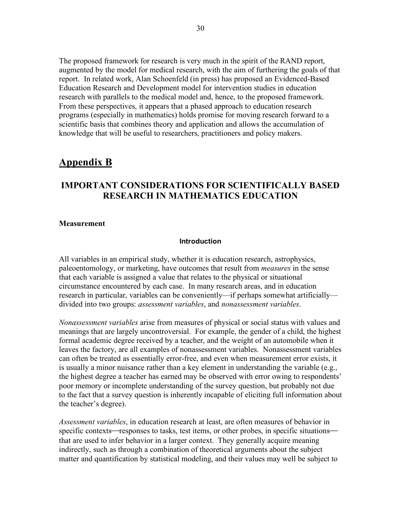The proposed framework for research is very much in the spirit of the RAND report, augmented by the model for medical research, with the aim of furthering the goals of that report. In related work, Alan Schoenfeld (in press) has proposed an Evidenced-Based Education Research and Development model for intervention studies in education research with parallels to the medical model and, hence, to the proposed framework. From these perspectives, it appears that a phased approach to education research programs (especially in mathematics) holds promise for moving research forward to a scientific basis that combines theory and application and allows the accumulation of knowledge that will be useful to researchers, practitioners and policy makers.

# **Appendix B**

# **IMPORTANT CONSIDERATIONS FOR SCIENTIFICALLY BASED RESEARCH IN MATHEMATICS EDUCATION**

#### **Measurement**

#### **Introduction**

All variables in an empirical study, whether it is education research, astrophysics, paleoentomology, or marketing, have outcomes that result from *measures* in the sense that each variable is assigned a value that relates to the physical or situational circumstance encountered by each case. In many research areas, and in education research in particular, variables can be conveniently—if perhaps somewhat artificially divided into two groups: *assessment variables*, and *nonassessment variables*.

*Nonassessment variables* arise from measures of physical or social status with values and meanings that are largely uncontroversial. For example, the gender of a child, the highest formal academic degree received by a teacher, and the weight of an automobile when it leaves the factory, are all examples of nonassessment variables. Nonassessment variables can often be treated as essentially error-free, and even when measurement error exists, it is usually a minor nuisance rather than a key element in understanding the variable (e.g., the highest degree a teacher has earned may be observed with error owing to respondents' poor memory or incomplete understanding of the survey question, but probably not due to the fact that a survey question is inherently incapable of eliciting full information about the teacher's degree).

*Assessment variables*, in education research at least, are often measures of behavior in specific contexts—responses to tasks, test items, or other probes, in specific situations that are used to infer behavior in a larger context. They generally acquire meaning indirectly, such as through a combination of theoretical arguments about the subject matter and quantification by statistical modeling, and their values may well be subject to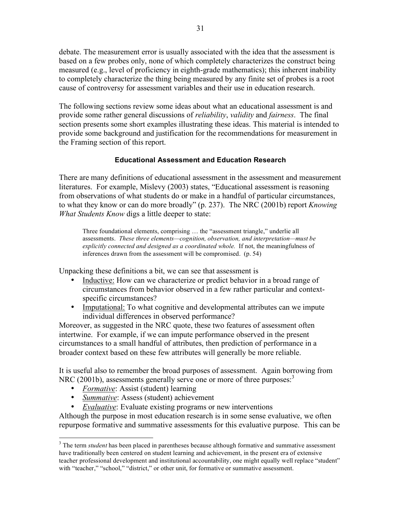debate. The measurement error is usually associated with the idea that the assessment is based on a few probes only, none of which completely characterizes the construct being measured (e.g., level of proficiency in eighth-grade mathematics); this inherent inability to completely characterize the thing being measured by any finite set of probes is a root cause of controversy for assessment variables and their use in education research.

The following sections review some ideas about what an educational assessment is and provide some rather general discussions of *reliability*, *validity* and *fairness*. The final section presents some short examples illustrating these ideas. This material is intended to provide some background and justification for the recommendations for measurement in the Framing section of this report.

#### **Educational Assessment and Education Research**

There are many definitions of educational assessment in the assessment and measurement literatures. For example, Mislevy (2003) states, "Educational assessment is reasoning from observations of what students do or make in a handful of particular circumstances, to what they know or can do more broadly" (p. 237). The NRC (2001b) report *Knowing What Students Know* digs a little deeper to state:

Three foundational elements, comprising … the "assessment triangle," underlie all assessments. *These three elements—cognition, observation, and interpretation—must be explicitly connected and designed as a coordinated whole.* If not, the meaningfulness of inferences drawn from the assessment will be compromised. (p. 54)

Unpacking these definitions a bit, we can see that assessment is

- Inductive: How can we characterize or predict behavior in a broad range of circumstances from behavior observed in a few rather particular and contextspecific circumstances?
- Imputational: To what cognitive and developmental attributes can we impute individual differences in observed performance?

Moreover, as suggested in the NRC quote, these two features of assessment often intertwine. For example, if we can impute performance observed in the present circumstances to a small handful of attributes, then prediction of performance in a broader context based on these few attributes will generally be more reliable.

It is useful also to remember the broad purposes of assessment. Again borrowing from NRC (2001b), assessments generally serve one or more of three purposes.<sup>3</sup>

- *Formative*: Assist (student) learning<br>• *Summative:* Assess (student) achieve
- *Summative*: Assess (student) achievement
- *Evaluative*: Evaluate existing programs or new interventions

Although the purpose in most education research is in some sense evaluative, we often repurpose formative and summative assessments for this evaluative purpose. This can be

 <sup>3</sup> The term *student* has been placed in parentheses because although formative and summative assessment have traditionally been centered on student learning and achievement, in the present era of extensive teacher professional development and institutional accountability, one might equally well replace "student" with "teacher," "school," "district," or other unit, for formative or summative assessment.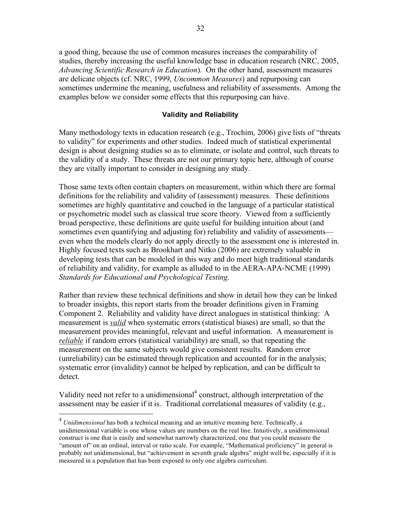a good thing, because the use of common measures increases the comparability of studies, thereby increasing the useful knowledge base in education research (NRC, 2005, *Advancing Scientific Research in Education*). On the other hand, assessment measures are delicate objects (cf. NRC, 1999, *Uncommon Measures*) and repurposing can sometimes undermine the meaning, usefulness and reliability of assessments. Among the examples below we consider some effects that this repurposing can have.

#### **Validity and Reliability**

Many methodology texts in education research (e.g., Trochim, 2006) give lists of "threats to validity" for experiments and other studies. Indeed much of statistical experimental design is about designing studies so as to eliminate, or isolate and control, such threats to the validity of a study. These threats are not our primary topic here, although of course they are vitally important to consider in designing any study.

Those same texts often contain chapters on measurement, within which there are formal definitions for the reliability and validity of (assessment) measures. These definitions sometimes are highly quantitative and couched in the language of a particular statistical or psychometric model such as classical true score theory. Viewed from a sufficiently broad perspective, these definitions are quite useful for building intuition about (and sometimes even quantifying and adjusting for) reliability and validity of assessments even when the models clearly do not apply directly to the assessment one is interested in. Highly focused texts such as Brookhart and Nitko (2006) are extremely valuable in developing tests that can be modeled in this way and do meet high traditional standards of reliability and validity, for example as alluded to in the AERA-APA-NCME (1999) *Standards for Educational and Psychological Testing.*

Rather than review these technical definitions and show in detail how they can be linked to broader insights, this report starts from the broader definitions given in Framing Component 2. Reliability and validity have direct analogues in statistical thinking: A measurement is *valid* when systematic errors (statistical biases) are small, so that the measurement provides meaningful, relevant and useful information. A measurement is *reliable* if random errors (statistical variability) are small, so that repeating the measurement on the same subjects would give consistent results. Random error (unreliability) can be estimated through replication and accounted for in the analysis; systematic error (invalidity) cannot be helped by replication, and can be difficult to detect.

Validity need not refer to a unidimensional<sup>4</sup> construct, although interpretation of the assessment may be easier if it is. Traditional correlational measures of validity (e.g.,

 <sup>4</sup> *Unidimensional* has both <sup>a</sup> technical meaning and an intuitive meaning here. Technically, <sup>a</sup> unidimensional variable is one whose values are numbers on the real line. Intuitively, a unidimensional construct is one that is easily and somewhat narrowly characterized, one that you could measure the "amount of" on an ordinal, interval or ratio scale. For example, "Mathematical proficiency" in general is probably not unidimensional, but "achievement in seventh grade algebra" might well be, especially if it is measured in a population that has been exposed to only one algebra curriculum.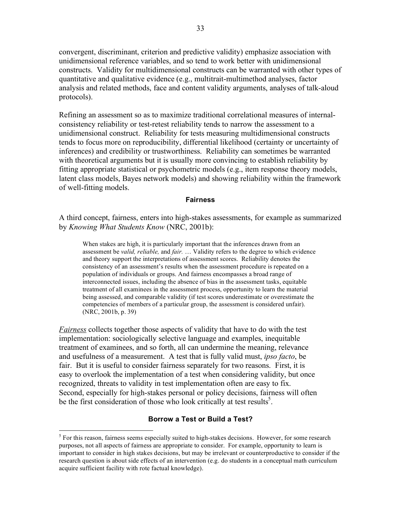convergent, discriminant, criterion and predictive validity) emphasize association with unidimensional reference variables, and so tend to work better with unidimensional constructs. Validity for multidimensional constructs can be warranted with other types of quantitative and qualitative evidence (e.g., multitrait-multimethod analyses, factor analysis and related methods, face and content validity arguments, analyses of talk-aloud protocols).

Refining an assessment so as to maximize traditional correlational measures of internalconsistency reliability or test-retest reliability tends to narrow the assessment to a unidimensional construct. Reliability for tests measuring multidimensional constructs tends to focus more on reproducibility, differential likelihood (certainty or uncertainty of inferences) and credibility or trustworthiness. Reliability can sometimes be warranted with theoretical arguments but it is usually more convincing to establish reliability by fitting appropriate statistical or psychometric models (e.g., item response theory models, latent class models, Bayes network models) and showing reliability within the framework of well-fitting models.

#### **Fairness**

A third concept, fairness, enters into high-stakes assessments, for example as summarized by *Knowing What Students Know* (NRC, 2001b):

When stakes are high, it is particularly important that the inferences drawn from an assessment be *valid, reliable,* and *fair.* … Validity refers to the degree to which evidence and theory support the interpretations of assessment scores. Reliability denotes the consistency of an assessment's results when the assessment procedure is repeated on a population of individuals or groups. And fairness encompasses a broad range of interconnected issues, including the absence of bias in the assessment tasks, equitable treatment of all examinees in the assessment process, opportunity to learn the material being assessed, and comparable validity (if test scores underestimate or overestimate the competencies of members of a particular group, the assessment is considered unfair). (NRC, 2001b, p. 39)

*Fairness* collects together those aspects of validity that have to do with the test implementation: sociologically selective language and examples, inequitable treatment of examinees, and so forth, all can undermine the meaning, relevance and usefulness of a measurement. A test that is fully valid must, *ipso facto*, be fair. But it is useful to consider fairness separately for two reasons. First, it is easy to overlook the implementation of a test when considering validity, but once recognized, threats to validity in test implementation often are easy to fix. Second, especially for high-stakes personal or policy decisions, fairness will often be the first consideration of those who look critically at test results<sup>5</sup>.

#### **Borrow a Test or Build a Test?**

<sup>&</sup>lt;sup>5</sup> For this reason, fairness seems especially suited to high-stakes decisions. However, for some research purposes, not all aspects of fairness are appropriate to consider. For example, opportunity to learn is important to consider in high stakes decisions, but may be irrelevant or counterproductive to consider if the research question is about side effects of an intervention (e.g. do students in a conceptual math curriculum acquire sufficient facility with rote factual knowledge).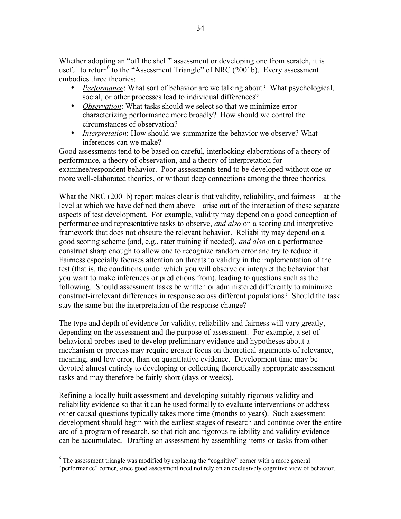Whether adopting an "off the shelf" assessment or developing one from scratch, it is useful to return<sup>6</sup> to the "Assessment Triangle" of NRC (2001b). Every assessment embodies three theories:

- *Performance*: What sort of behavior are we talking about? What psychological, social, or other processes lead to individual differences?
- *Observation*: What tasks should we select so that we minimize error characterizing performance more broadly? How should we control the circumstances of observation?
- *Interpretation*: How should we summarize the behavior we observe? What inferences can we make?

Good assessments tend to be based on careful, interlocking elaborations of a theory of performance, a theory of observation, and a theory of interpretation for examinee/respondent behavior. Poor assessments tend to be developed without one or more well-elaborated theories, or without deep connections among the three theories.

What the NRC (2001b) report makes clear is that validity, reliability, and fairness—at the level at which we have defined them above—arise out of the interaction of these separate aspects of test development. For example, validity may depend on a good conception of performance and representative tasks to observe, *and also* on a scoring and interpretive framework that does not obscure the relevant behavior. Reliability may depend on a good scoring scheme (and, e.g., rater training if needed), *and also* on a performance construct sharp enough to allow one to recognize random error and try to reduce it. Fairness especially focuses attention on threats to validity in the implementation of the test (that is, the conditions under which you will observe or interpret the behavior that you want to make inferences or predictions from), leading to questions such as the following. Should assessment tasks be written or administered differently to minimize construct-irrelevant differences in response across different populations? Should the task stay the same but the interpretation of the response change?

The type and depth of evidence for validity, reliability and fairness will vary greatly, depending on the assessment and the purpose of assessment. For example, a set of behavioral probes used to develop preliminary evidence and hypotheses about a mechanism or process may require greater focus on theoretical arguments of relevance, meaning, and low error, than on quantitative evidence. Development time may be devoted almost entirely to developing or collecting theoretically appropriate assessment tasks and may therefore be fairly short (days or weeks).

Refining a locally built assessment and developing suitably rigorous validity and reliability evidence so that it can be used formally to evaluate interventions or address other causal questions typically takes more time (months to years). Such assessment development should begin with the earliest stages of research and continue over the entire arc of a program of research, so that rich and rigorous reliability and validity evidence can be accumulated. Drafting an assessment by assembling items or tasks from other

<sup>&</sup>lt;sup>6</sup> The assessment triangle was modified by replacing the "cognitive" corner with a more general "performance" corner, since good assessment need not rely on an exclusively cognitive view of behavior.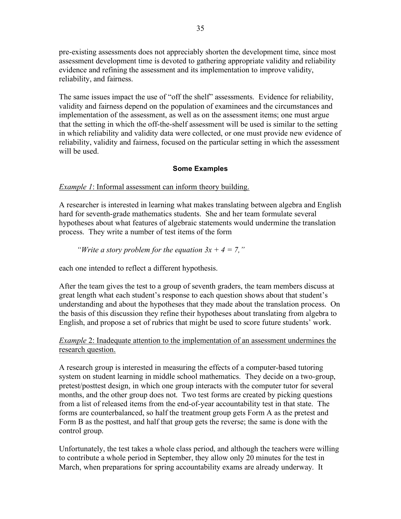pre-existing assessments does not appreciably shorten the development time, since most assessment development time is devoted to gathering appropriate validity and reliability evidence and refining the assessment and its implementation to improve validity, reliability, and fairness.

The same issues impact the use of "off the shelf" assessments. Evidence for reliability, validity and fairness depend on the population of examinees and the circumstances and implementation of the assessment, as well as on the assessment items; one must argue that the setting in which the off-the-shelf assessment will be used is similar to the setting in which reliability and validity data were collected, or one must provide new evidence of reliability, validity and fairness, focused on the particular setting in which the assessment will be used.

# **Some Examples**

# *Example 1*: Informal assessment can inform theory building.

A researcher is interested in learning what makes translating between algebra and English hard for seventh-grade mathematics students. She and her team formulate several hypotheses about what features of algebraic statements would undermine the translation process. They write a number of test items of the form

# *"Write a story problem for the equation*  $3x + 4 = 7$ ,"

each one intended to reflect a different hypothesis.

After the team gives the test to a group of seventh graders, the team members discuss at great length what each student's response to each question shows about that student's understanding and about the hypotheses that they made about the translation process. On the basis of this discussion they refine their hypotheses about translating from algebra to English, and propose a set of rubrics that might be used to score future students' work.

# *Example* 2: Inadequate attention to the implementation of an assessment undermines the research question.

A research group is interested in measuring the effects of a computer-based tutoring system on student learning in middle school mathematics. They decide on a two-group, pretest/posttest design, in which one group interacts with the computer tutor for several months, and the other group does not. Two test forms are created by picking questions from a list of released items from the end-of-year accountability test in that state. The forms are counterbalanced, so half the treatment group gets Form A as the pretest and Form B as the posttest, and half that group gets the reverse; the same is done with the control group.

Unfortunately, the test takes a whole class period, and although the teachers were willing to contribute a whole period in September, they allow only 20 minutes for the test in March, when preparations for spring accountability exams are already underway. It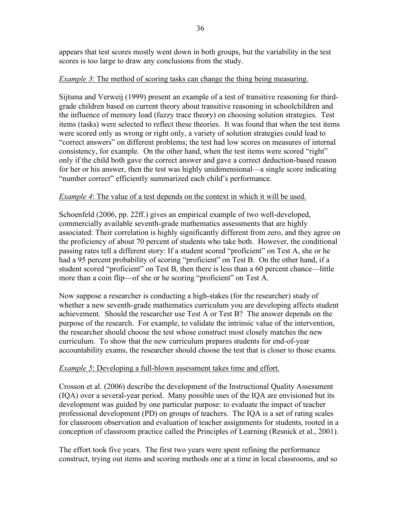appears that test scores mostly went down in both groups, but the variability in the test scores is too large to draw any conclusions from the study.

# *Example* 3: The method of scoring tasks can change the thing being measuring.

Sijtsma and Verweij (1999) present an example of a test of transitive reasoning for thirdgrade children based on current theory about transitive reasoning in schoolchildren and the influence of memory load (fuzzy trace theory) on choosing solution strategies. Test items (tasks) were selected to reflect these theories. It was found that when the test items were scored only as wrong or right only, a variety of solution strategies could lead to "correct answers" on different problems; the test had low scores on measures of internal consistency, for example. On the other hand, when the test items were scored "right" only if the child both gave the correct answer and gave a correct deduction-based reason for her or his answer, then the test was highly unidimensional—a single score indicating "number correct" efficiently summarized each child's performance.

# *Example 4*: The value of a test depends on the context in which it will be used.

Schoenfeld (2006, pp. 22ff.) gives an empirical example of two well-developed, commercially available seventh-grade mathematics assessments that are highly associated: Their correlation is highly significantly different from zero, and they agree on the proficiency of about 70 percent of students who take both. However, the conditional passing rates tell a different story: If a student scored "proficient" on Test A, she or he had a 95 percent probability of scoring "proficient" on Test B. On the other hand, if a student scored "proficient" on Test B, then there is less than a 60 percent chance—little more than a coin flip—of she or he scoring "proficient" on Test A.

Now suppose a researcher is conducting a high-stakes (for the researcher) study of whether a new seventh-grade mathematics curriculum you are developing affects student achievement. Should the researcher use Test A or Test B? The answer depends on the purpose of the research. For example, to validate the intrinsic value of the intervention, the researcher should choose the test whose construct most closely matches the new curriculum. To show that the new curriculum prepares students for end-of-year accountability exams, the researcher should choose the test that is closer to those exams.

#### *Example 5*: Developing a full-blown assessment takes time and effort.

Crosson et al. (2006) describe the development of the Instructional Quality Assessment (IQA) over a several-year period. Many possible uses of the IQA are envisioned but its development was guided by one particular purpose: to evaluate the impact of teacher professional development (PD) on groups of teachers. The IQA is a set of rating scales for classroom observation and evaluation of teacher assignments for students, rooted in a conception of classroom practice called the Principles of Learning (Resnick et al., 2001).

The effort took five years. The first two years were spent refining the performance construct, trying out items and scoring methods one at a time in local classrooms, and so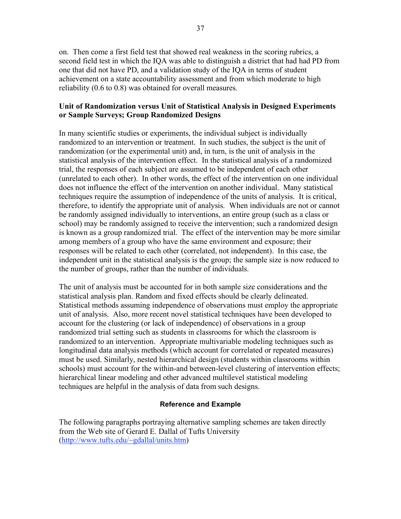on. Then come a first field test that showed real weakness in the scoring rubrics, a second field test in which the IQA was able to distinguish a district that had had PD from one that did not have PD, and a validation study of the IQA in terms of student achievement on a state accountability assessment and from which moderate to high reliability (0.6 to 0.8) was obtained for overall measures.

#### **Unit of Randomization versus Unit of Statistical Analysis in Designed Experiments or Sample Surveys; Group Randomized Designs**

In many scientific studies or experiments, the individual subject is individually randomized to an intervention or treatment. In such studies, the subject is the unit of randomization (or the experimental unit) and, in turn, is the unit of analysis in the statistical analysis of the intervention effect. In the statistical analysis of a randomized trial, the responses of each subject are assumed to be independent of each other (unrelated to each other). In other words, the effect of the intervention on one individual does not influence the effect of the intervention on another individual. Many statistical techniques require the assumption of independence of the units of analysis. It is critical, therefore, to identify the appropriate unit of analysis. When individuals are not or cannot be randomly assigned individually to interventions, an entire group (such as a class or school) may be randomly assigned to receive the intervention; such a randomized design is known as a group randomized trial. The effect of the intervention may be more similar among members of a group who have the same environment and exposure; their responses will be related to each other (correlated, not independent). In this case, the independent unit in the statistical analysis is the group; the sample size is now reduced to the number of groups, rather than the number of individuals.

The unit of analysis must be accounted for in both sample size considerations and the statistical analysis plan. Random and fixed effects should be clearly delineated. Statistical methods assuming independence of observations must employ the appropriate unit of analysis. Also, more recent novel statistical techniques have been developed to account for the clustering (or lack of independence) of observations in a group randomized trial setting such as students in classrooms for which the classroom is randomized to an intervention. Appropriate multivariable modeling techniques such as longitudinal data analysis methods (which account for correlated or repeated measures) must be used. Similarly, nested hierarchical design (students within classrooms within schools) must account for the within-and between-level clustering of intervention effects; hierarchical linear modeling and other advanced multilevel statistical modeling techniques are helpful in the analysis of data from such designs.

#### **Reference and Example**

The following paragraphs portraying alternative sampling schemes are taken directly from the Web site of Gerard E. Dallal of Tufts University (http://www.tufts.edu/~gdallal/units.htm)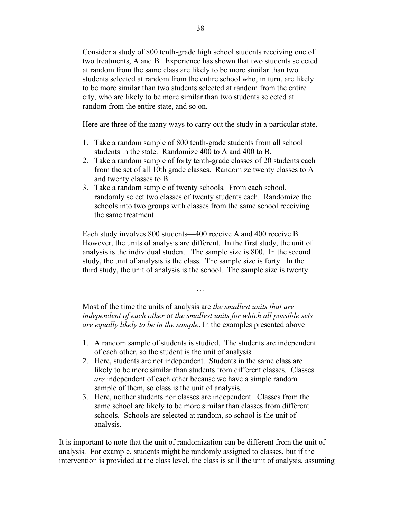Consider a study of 800 tenth-grade high school students receiving one of two treatments, A and B. Experience has shown that two students selected at random from the same class are likely to be more similar than two students selected at random from the entire school who, in turn, are likely to be more similar than two students selected at random from the entire city, who are likely to be more similar than two students selected at random from the entire state, and so on.

Here are three of the many ways to carry out the study in a particular state.

- 1. Take a random sample of 800 tenth-grade students from all school students in the state. Randomize 400 to A and 400 to B.
- 2. Take a random sample of forty tenth-grade classes of 20 students each from the set of all 10th grade classes. Randomize twenty classes to A and twenty classes to B.
- 3. Take a random sample of twenty schools. From each school, randomly select two classes of twenty students each. Randomize the schools into two groups with classes from the same school receiving the same treatment.

Each study involves 800 students—400 receive A and 400 receive B. However, the units of analysis are different. In the first study, the unit of analysis is the individual student. The sample size is 800. In the second study, the unit of analysis is the class. The sample size is forty. In the third study, the unit of analysis is the school. The sample size is twenty.

Most of the time the units of analysis are *the smallest units that are independent of each other* or *the smallest units for which all possible sets are equally likely to be in the sample*. In the examples presented above

…

- 1. A random sample of students is studied. The students are independent of each other, so the student is the unit of analysis.
- 2. Here, students are not independent. Students in the same class are likely to be more similar than students from different classes. Classes *are* independent of each other because we have a simple random sample of them, so class is the unit of analysis.
- 3. Here, neither students nor classes are independent. Classes from the same school are likely to be more similar than classes from different schools. Schools are selected at random, so school is the unit of analysis.

It is important to note that the unit of randomization can be different from the unit of analysis. For example, students might be randomly assigned to classes, but if the intervention is provided at the class level, the class is still the unit of analysis, assuming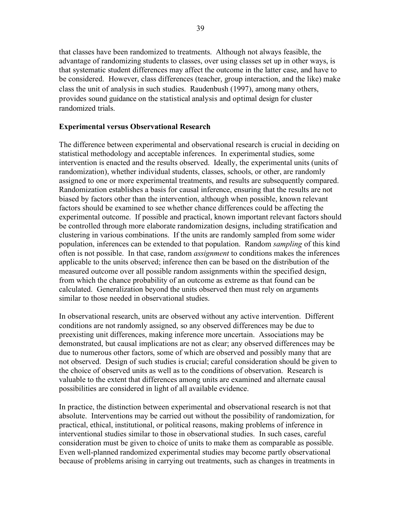that classes have been randomized to treatments. Although not always feasible, the advantage of randomizing students to classes, over using classes set up in other ways, is that systematic student differences may affect the outcome in the latter case, and have to be considered. However, class differences (teacher, group interaction, and the like) make class the unit of analysis in such studies. Raudenbush (1997), among many others, provides sound guidance on the statistical analysis and optimal design for cluster randomized trials.

#### **Experimental versus Observational Research**

The difference between experimental and observational research is crucial in deciding on statistical methodology and acceptable inferences. In experimental studies, some intervention is enacted and the results observed. Ideally, the experimental units (units of randomization), whether individual students, classes, schools, or other, are randomly assigned to one or more experimental treatments, and results are subsequently compared. Randomization establishes a basis for causal inference, ensuring that the results are not biased by factors other than the intervention, although when possible, known relevant factors should be examined to see whether chance differences could be affecting the experimental outcome. If possible and practical, known important relevant factors should be controlled through more elaborate randomization designs, including stratification and clustering in various combinations. If the units are randomly sampled from some wider population, inferences can be extended to that population. Random *sampling* of this kind often is not possible. In that case, random *assignment* to conditions makes the inferences applicable to the units observed; inference then can be based on the distribution of the measured outcome over all possible random assignments within the specified design, from which the chance probability of an outcome as extreme as that found can be calculated. Generalization beyond the units observed then must rely on arguments similar to those needed in observational studies.

In observational research, units are observed without any active intervention. Different conditions are not randomly assigned, so any observed differences may be due to preexisting unit differences, making inference more uncertain. Associations may be demonstrated, but causal implications are not as clear; any observed differences may be due to numerous other factors, some of which are observed and possibly many that are not observed. Design of such studies is crucial; careful consideration should be given to the choice of observed units as well as to the conditions of observation. Research is valuable to the extent that differences among units are examined and alternate causal possibilities are considered in light of all available evidence.

In practice, the distinction between experimental and observational research is not that absolute. Interventions may be carried out without the possibility of randomization, for practical, ethical, institutional, or political reasons, making problems of inference in interventional studies similar to those in observational studies. In such cases, careful consideration must be given to choice of units to make them as comparable as possible. Even well-planned randomized experimental studies may become partly observational because of problems arising in carrying out treatments, such as changes in treatments in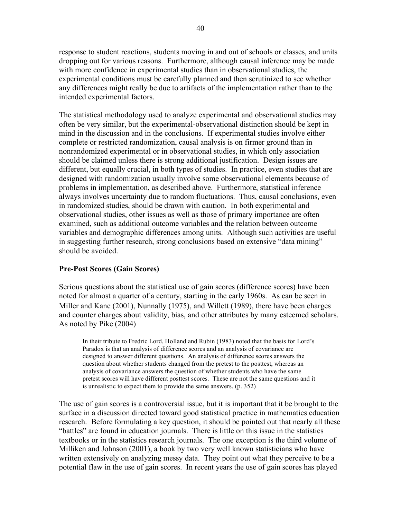response to student reactions, students moving in and out of schools or classes, and units dropping out for various reasons. Furthermore, although causal inference may be made with more confidence in experimental studies than in observational studies, the experimental conditions must be carefully planned and then scrutinized to see whether any differences might really be due to artifacts of the implementation rather than to the intended experimental factors.

The statistical methodology used to analyze experimental and observational studies may often be very similar, but the experimental-observational distinction should be kept in mind in the discussion and in the conclusions. If experimental studies involve either complete or restricted randomization, causal analysis is on firmer ground than in nonrandomized experimental or in observational studies, in which only association should be claimed unless there is strong additional justification. Design issues are different, but equally crucial, in both types of studies. In practice, even studies that are designed with randomization usually involve some observational elements because of problems in implementation, as described above. Furthermore, statistical inference always involves uncertainty due to random fluctuations. Thus, causal conclusions, even in randomized studies, should be drawn with caution. In both experimental and observational studies, other issues as well as those of primary importance are often examined, such as additional outcome variables and the relation between outcome variables and demographic differences among units. Although such activities are useful in suggesting further research, strong conclusions based on extensive "data mining" should be avoided.

#### **Pre-Post Scores (Gain Scores)**

Serious questions about the statistical use of gain scores (difference scores) have been noted for almost a quarter of a century, starting in the early 1960s. As can be seen in Miller and Kane (2001), Nunnally (1975), and Willett (1989), there have been charges and counter charges about validity, bias, and other attributes by many esteemed scholars. As noted by Pike (2004)

In their tribute to Fredric Lord, Holland and Rubin (1983) noted that the basis for Lord's Paradox is that an analysis of difference scores and an analysis of covariance are designed to answer different questions. An analysis of difference scores answers the question about whether students changed from the pretest to the posttest, whereas an analysis of covariance answers the question of whether students who have the same pretest scores will have different posttest scores. These are not the same questions and it is unrealistic to expect them to provide the same answers. (p. 352)

The use of gain scores is a controversial issue, but it is important that it be brought to the surface in a discussion directed toward good statistical practice in mathematics education research. Before formulating a key question, it should be pointed out that nearly all these "battles" are found in education journals. There is little on this issue in the statistics textbooks or in the statistics research journals. The one exception is the third volume of Milliken and Johnson (2001), a book by two very well known statisticians who have written extensively on analyzing messy data. They point out what they perceive to be a potential flaw in the use of gain scores. In recent years the use of gain scores has played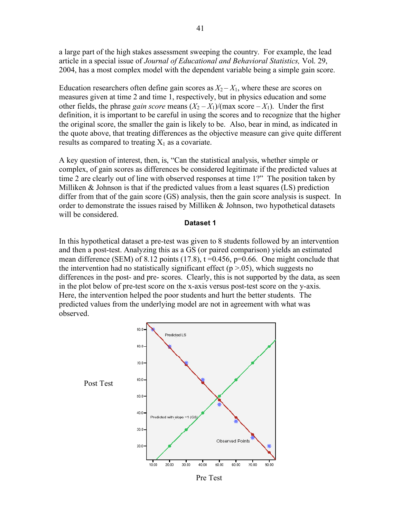a large part of the high stakes assessment sweeping the country. For example, the lead article in a special issue of *Journal of Educational and Behavioral Statistics,* Vol. 29, 2004, has a most complex model with the dependent variable being a simple gain score.

Education researchers often define gain scores as  $X_2 - X_1$ , where these are scores on measures given at time 2 and time 1, respectively, but in physics education and some other fields, the phrase *gain score* means  $(X_2 - X_1)/(\text{max score} - X_1)$ . Under the first definition, it is important to be careful in using the scores and to recognize that the higher the original score, the smaller the gain is likely to be. Also, bear in mind, as indicated in the quote above, that treating differences as the objective measure can give quite different results as compared to treating  $X_1$  as a covariate.

A key question of interest, then, is, "Can the statistical analysis, whether simple or complex, of gain scores as differences be considered legitimate if the predicted values at time 2 are clearly out of line with observed responses at time 1?" The position taken by Milliken & Johnson is that if the predicted values from a least squares (LS) prediction differ from that of the gain score (GS) analysis, then the gain score analysis is suspect. In order to demonstrate the issues raised by Milliken  $\&$  Johnson, two hypothetical datasets will be considered.

#### **Dataset 1**

In this hypothetical dataset a pre-test was given to 8 students followed by an intervention and then a post-test. Analyzing this as a GS (or paired comparison) yields an estimated mean difference (SEM) of 8.12 points (17.8),  $t = 0.456$ ,  $p = 0.66$ . One might conclude that the intervention had no statistically significant effect ( $p > .05$ ), which suggests no differences in the post- and pre- scores. Clearly, this is not supported by the data, as seen in the plot below of pre-test score on the x-axis versus post-test score on the y-axis. Here, the intervention helped the poor students and hurt the better students. The predicted values from the underlying model are not in agreement with what was observed.

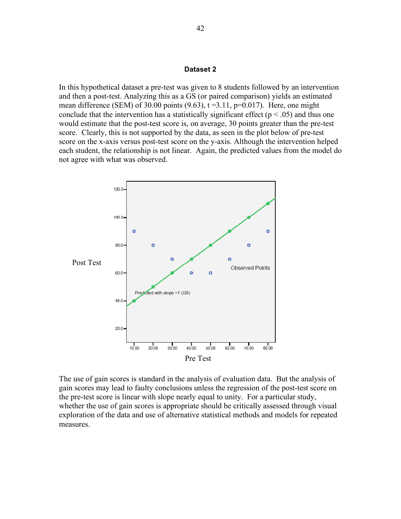#### **Dataset 2**

In this hypothetical dataset a pre-test was given to 8 students followed by an intervention and then a post-test. Analyzing this as a GS (or paired comparison) yields an estimated mean difference (SEM) of 30.00 points  $(9.63)$ ,  $t = 3.11$ ,  $p = 0.017$ ). Here, one might conclude that the intervention has a statistically significant effect ( $p < .05$ ) and thus one would estimate that the post-test score is, on average, 30 points greater than the pre-test score. Clearly, this is not supported by the data, as seen in the plot below of pre-test score on the x-axis versus post-test score on the y-axis. Although the intervention helped each student, the relationship is not linear. Again, the predicted values from the model do not agree with what was observed.



The use of gain scores is standard in the analysis of evaluation data. But the analysis of gain scores may lead to faulty conclusions unless the regression of the post-test score on the pre-test score is linear with slope nearly equal to unity. For a particular study, whether the use of gain scores is appropriate should be critically assessed through visual exploration of the data and use of alternative statistical methods and models for repeated measures.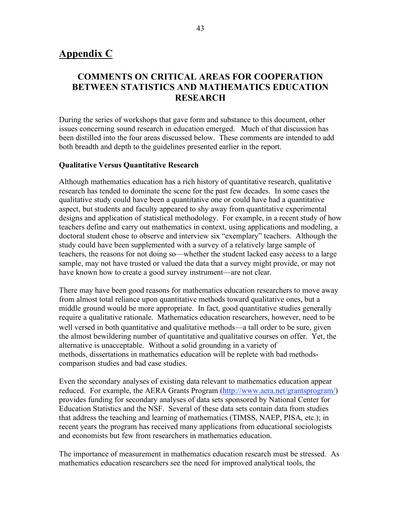# **Appendix C**

# **COMMENTS ON CRITICAL AREAS FOR COOPERATION BETWEEN STATISTICS AND MATHEMATICS EDUCATION RESEARCH**

During the series of workshops that gave form and substance to this document, other issues concerning sound research in education emerged. Much of that discussion has been distilled into the four areas discussed below. These comments are intended to add both breadth and depth to the guidelines presented earlier in the report.

#### **Qualitative Versus Quantitative Research**

Although mathematics education has a rich history of quantitative research, qualitative research has tended to dominate the scene for the past few decades. In some cases the qualitative study could have been a quantitative one or could have had a quantitative aspect, but students and faculty appeared to shy away from quantitative experimental designs and application of statistical methodology. For example, in a recent study of how teachers define and carry out mathematics in context, using applications and modeling, a doctoral student chose to observe and interview six "exemplary" teachers. Although the study could have been supplemented with a survey of a relatively large sample of teachers, the reasons for not doing so—whether the student lacked easy access to a large sample, may not have trusted or valued the data that a survey might provide, or may not have known how to create a good survey instrument—are not clear.

There may have been good reasons for mathematics education researchers to move away from almost total reliance upon quantitative methods toward qualitative ones, but a middle ground would be more appropriate. In fact, good quantitative studies generally require a qualitative rationale. Mathematics education researchers, however, need to be well versed in both quantitative and qualitative methods—a tall order to be sure, given the almost bewildering number of quantitative and qualitative courses on offer. Yet, the alternative is unacceptable. Without a solid grounding in a variety of methods, dissertations in mathematics education will be replete with bad methodscomparison studies and bad case studies.

Even the secondary analyses of existing data relevant to mathematics education appear reduced. For example, the AERA Grants Program (http://www.aera.net/grantsprogram/) provides funding for secondary analyses of data sets sponsored by National Center for Education Statistics and the NSF. Several of these data sets contain data from studies that address the teaching and learning of mathematics (TIMSS, NAEP, PISA, etc.); in recent years the program has received many applications from educational sociologists and economists but few from researchers in mathematics education.

The importance of measurement in mathematics education research must be stressed. As mathematics education researchers see the need for improved analytical tools, the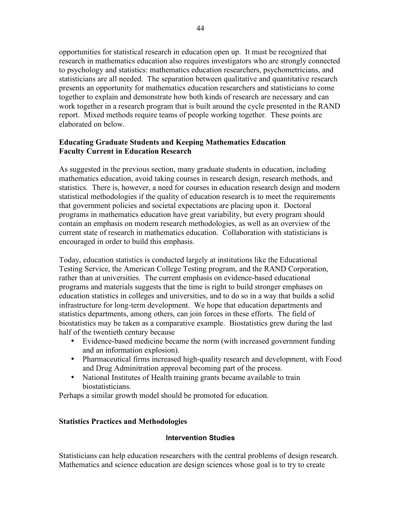opportunities for statistical research in education open up. It must be recognized that research in mathematics education also requires investigators who are strongly connected to psychology and statistics: mathematics education researchers, psychometricians, and statisticians are all needed. The separation between qualitative and quantitative research presents an opportunity for mathematics education researchers and statisticians to come together to explain and demonstrate how both kinds of research are necessary and can work together in a research program that is built around the cycle presented in the RAND report. Mixed methods require teams of people working together. These points are elaborated on below.

# **Educating Graduate Students and Keeping Mathematics Education Faculty Current in Education Research**

As suggested in the previous section, many graduate students in education, including mathematics education, avoid taking courses in research design, research methods, and statistics. There is, however, a need for courses in education research design and modern statistical methodologies if the quality of education research is to meet the requirements that government policies and societal expectations are placing upon it. Doctoral programs in mathematics education have great variability, but every program should contain an emphasis on modern research methodologies, as well as an overview of the current state of research in mathematics education. Collaboration with statisticians is encouraged in order to build this emphasis.

Today, education statistics is conducted largely at institutions like the Educational Testing Service, the American College Testing program, and the RAND Corporation, rather than at universities. The current emphasis on evidence-based educational programs and materials suggests that the time is right to build stronger emphases on education statistics in colleges and universities, and to do so in a way that builds a solid infrastructure for long-term development. We hope that education departments and statistics departments, among others, can join forces in these efforts. The field of biostatistics may be taken as a comparative example. Biostatistics grew during the last half of the twentieth century because

- Evidence-based medicine became the norm (with increased government funding and an information explosion).
- Pharmaceutical firms increased high-quality research and development, with Food and Drug Adminitration approval becoming part of the process.
- National Institutes of Health training grants became available to train biostatisticians.

Perhaps a similar growth model should be promoted for education.

# **Statistics Practices and Methodologies**

#### **Intervention Studies**

Statisticians can help education researchers with the central problems of design research. Mathematics and science education are design sciences whose goal is to try to create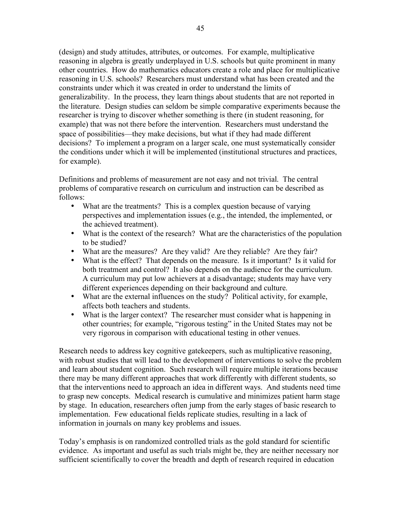(design) and study attitudes, attributes, or outcomes. For example, multiplicative reasoning in algebra is greatly underplayed in U.S. schools but quite prominent in many other countries. How do mathematics educators create a role and place for multiplicative reasoning in U.S. schools? Researchers must understand what has been created and the constraints under which it was created in order to understand the limits of generalizability. In the process, they learn things about students that are not reported in the literature. Design studies can seldom be simple comparative experiments because the researcher is trying to discover whether something is there (in student reasoning, for example) that was not there before the intervention. Researchers must understand the space of possibilities—they make decisions, but what if they had made different decisions? To implement a program on a larger scale, one must systematically consider the conditions under which it will be implemented (institutional structures and practices, for example).

Definitions and problems of measurement are not easy and not trivial. The central problems of comparative research on curriculum and instruction can be described as follows:

- What are the treatments? This is a complex question because of varying perspectives and implementation issues (e.g., the intended, the implemented, or the achieved treatment).
- What is the context of the research? What are the characteristics of the population to be studied?
- What are the measures? Are they valid? Are they reliable? Are they fair?
- What is the effect? That depends on the measure. Is it important? Is it valid for both treatment and control? It also depends on the audience for the curriculum. A curriculum may put low achievers at a disadvantage; students may have very different experiences depending on their background and culture.
- What are the external influences on the study? Political activity, for example, affects both teachers and students.
- What is the larger context? The researcher must consider what is happening in other countries; for example, "rigorous testing" in the United States may not be very rigorous in comparison with educational testing in other venues.

Research needs to address key cognitive gatekeepers, such as multiplicative reasoning, with robust studies that will lead to the development of interventions to solve the problem and learn about student cognition. Such research will require multiple iterations because there may be many different approaches that work differently with different students, so that the interventions need to approach an idea in different ways. And students need time to grasp new concepts. Medical research is cumulative and minimizes patient harm stage by stage. In education, researchers often jump from the early stages of basic research to implementation. Few educational fields replicate studies, resulting in a lack of information in journals on many key problems and issues.

Today's emphasis is on randomized controlled trials as the gold standard for scientific evidence. As important and useful as such trials might be, they are neither necessary nor sufficient scientifically to cover the breadth and depth of research required in education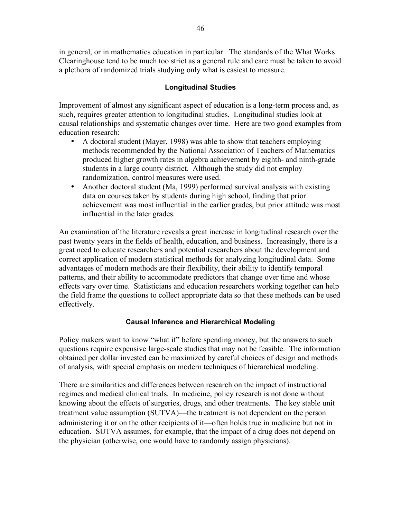in general, or in mathematics education in particular. The standards of the What Works Clearinghouse tend to be much too strict as a general rule and care must be taken to avoid a plethora of randomized trials studying only what is easiest to measure.

# **Longitudinal Studies**

Improvement of almost any significant aspect of education is a long-term process and, as such, requires greater attention to longitudinal studies. Longitudinal studies look at causal relationships and systematic changes over time. Here are two good examples from education research:

- A doctoral student (Mayer, 1998) was able to show that teachers employing methods recommended by the National Association of Teachers of Mathematics produced higher growth rates in algebra achievement by eighth- and ninth-grade students in a large county district. Although the study did not employ randomization, control measures were used.
- Another doctoral student (Ma, 1999) performed survival analysis with existing data on courses taken by students during high school, finding that prior achievement was most influential in the earlier grades, but prior attitude was most influential in the later grades.

An examination of the literature reveals a great increase in longitudinal research over the past twenty years in the fields of health, education, and business. Increasingly, there is a great need to educate researchers and potential researchers about the development and correct application of modern statistical methods for analyzing longitudinal data. Some advantages of modern methods are their flexibility, their ability to identify temporal patterns, and their ability to accommodate predictors that change over time and whose effects vary over time. Statisticians and education researchers working together can help the field frame the questions to collect appropriate data so that these methods can be used effectively.

# **Causal Inference and Hierarchical Modeling**

Policy makers want to know "what if" before spending money, but the answers to such questions require expensive large-scale studies that may not be feasible. The information obtained per dollar invested can be maximized by careful choices of design and methods of analysis, with special emphasis on modern techniques of hierarchical modeling.

There are similarities and differences between research on the impact of instructional regimes and medical clinical trials. In medicine, policy research is not done without knowing about the effects of surgeries, drugs, and other treatments. The key stable unit treatment value assumption (SUTVA)—the treatment is not dependent on the person administering it or on the other recipients of it—often holds true in medicine but not in education. SUTVA assumes, for example, that the impact of a drug does not depend on the physician (otherwise, one would have to randomly assign physicians).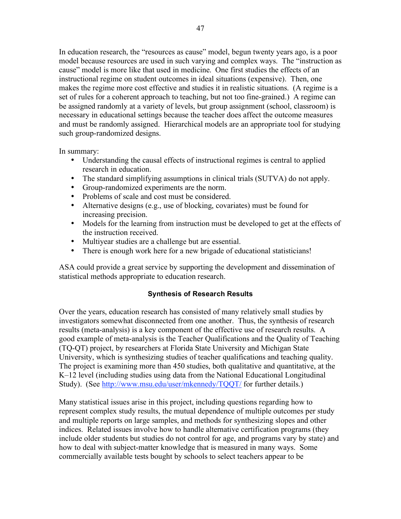In education research, the "resources as cause" model, begun twenty years ago, is a poor model because resources are used in such varying and complex ways. The "instruction as cause" model is more like that used in medicine. One first studies the effects of an instructional regime on student outcomes in ideal situations (expensive). Then, one makes the regime more cost effective and studies it in realistic situations. (A regime is a set of rules for a coherent approach to teaching, but not too fine-grained.) A regime can be assigned randomly at a variety of levels, but group assignment (school, classroom) is necessary in educational settings because the teacher does affect the outcome measures and must be randomly assigned. Hierarchical models are an appropriate tool for studying such group-randomized designs.

In summary:

- Understanding the causal effects of instructional regimes is central to applied research in education.
- The standard simplifying assumptions in clinical trials (SUTVA) do not apply.
- Group-randomized experiments are the norm.
- Problems of scale and cost must be considered.
- Alternative designs (e.g., use of blocking, covariates) must be found for increasing precision.
- Models for the learning from instruction must be developed to get at the effects of the instruction received.
- Multiyear studies are a challenge but are essential.
- There is enough work here for a new brigade of educational statisticians!

ASA could provide a great service by supporting the development and dissemination of statistical methods appropriate to education research.

# **Synthesis of Research Results**

Over the years, education research has consisted of many relatively small studies by investigators somewhat disconnected from one another. Thus, the synthesis of research results (meta-analysis) is a key component of the effective use of research results. A good example of meta-analysis is the Teacher Qualifications and the Quality of Teaching (TQ-QT) project, by researchers at Florida State University and Michigan State University, which is synthesizing studies of teacher qualifications and teaching quality. The project is examining more than 450 studies, both qualitative and quantitative, at the K–12 level (including studies using data from the National Educational Longitudinal Study). (See http://www.msu.edu/user/mkennedy/TQQT/ for further details.)

Many statistical issues arise in this project, including questions regarding how to represent complex study results, the mutual dependence of multiple outcomes per study and multiple reports on large samples, and methods for synthesizing slopes and other indices. Related issues involve how to handle alternative certification programs (they include older students but studies do not control for age, and programs vary by state) and how to deal with subject-matter knowledge that is measured in many ways. Some commercially available tests bought by schools to select teachers appear to be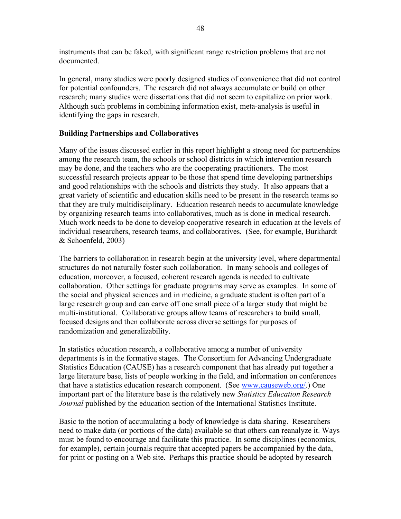instruments that can be faked, with significant range restriction problems that are not documented.

In general, many studies were poorly designed studies of convenience that did not control for potential confounders. The research did not always accumulate or build on other research; many studies were dissertations that did not seem to capitalize on prior work. Although such problems in combining information exist, meta-analysis is useful in identifying the gaps in research.

# **Building Partnerships and Collaboratives**

Many of the issues discussed earlier in this report highlight a strong need for partnerships among the research team, the schools or school districts in which intervention research may be done, and the teachers who are the cooperating practitioners. The most successful research projects appear to be those that spend time developing partnerships and good relationships with the schools and districts they study. It also appears that a great variety of scientific and education skills need to be present in the research teams so that they are truly multidisciplinary. Education research needs to accumulate knowledge by organizing research teams into collaboratives, much as is done in medical research. Much work needs to be done to develop cooperative research in education at the levels of individual researchers, research teams, and collaboratives. (See, for example, Burkhardt & Schoenfeld, 2003)

The barriers to collaboration in research begin at the university level, where departmental structures do not naturally foster such collaboration. In many schools and colleges of education, moreover, a focused, coherent research agenda is needed to cultivate collaboration. Other settings for graduate programs may serve as examples. In some of the social and physical sciences and in medicine, a graduate student is often part of a large research group and can carve off one small piece of a larger study that might be multi-institutional. Collaborative groups allow teams of researchers to build small, focused designs and then collaborate across diverse settings for purposes of randomization and generalizability.

In statistics education research, a collaborative among a number of university departments is in the formative stages. The Consortium for Advancing Undergraduate Statistics Education (CAUSE) has a research component that has already put together a large literature base, lists of people working in the field, and information on conferences that have a statistics education research component. (See www.causeweb.org/.) One important part of the literature base is the relatively new *Statistics Education Research Journal* published by the education section of the International Statistics Institute.

Basic to the notion of accumulating a body of knowledge is data sharing. Researchers need to make data (or portions of the data) available so that others can reanalyze it. Ways must be found to encourage and facilitate this practice. In some disciplines (economics, for example), certain journals require that accepted papers be accompanied by the data, for print or posting on a Web site. Perhaps this practice should be adopted by research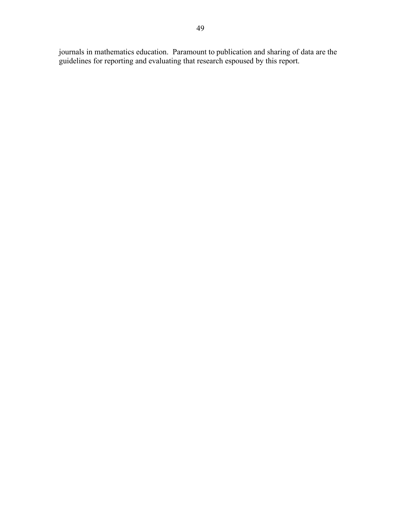journals in mathematics education. Paramount to publication and sharing of data are the guidelines for reporting and evaluating that research espoused by this report.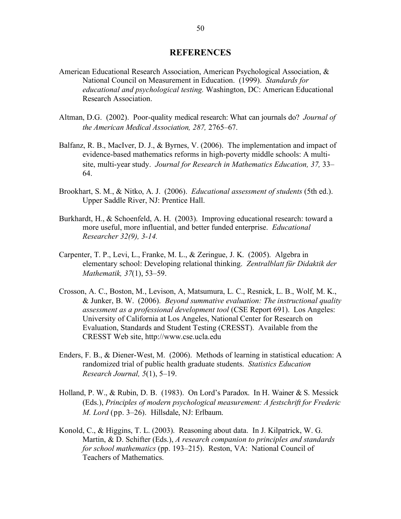#### **REFERENCES**

- American Educational Research Association, American Psychological Association, & National Council on Measurement in Education. (1999). *Standards for educational and psychological testing.* Washington, DC: American Educational Research Association.
- Altman, D.G. (2002). Poor-quality medical research: What can journals do? *Journal of the American Medical Association, 287,* 2765–67.
- Balfanz, R. B., MacIver, D. J., & Byrnes, V. (2006). The implementation and impact of evidence-based mathematics reforms in high-poverty middle schools: A multisite, multi-year study. *Journal for Research in Mathematics Education, 37,* 33– 64.
- Brookhart, S. M., & Nitko, A. J. (2006). *Educational assessment of students* (5th ed.). Upper Saddle River, NJ: Prentice Hall.
- Burkhardt, H., & Schoenfeld, A. H. (2003). Improving educational research: toward a more useful, more influential, and better funded enterprise. *Educational Researcher 32(9), 3-14.*
- Carpenter, T. P., Levi, L., Franke, M. L., & Zeringue, J. K. (2005). Algebra in elementary school: Developing relational thinking. *Zentralblatt für Didaktik der Mathematik, 37*(1), 53–59.
- Crosson, A. C., Boston, M., Levison, A, Matsumura, L. C., Resnick, L. B., Wolf, M. K., & Junker, B. W. (2006). *Beyond summative evaluation: The instructional quality assessment as a professional development tool* (CSE Report 691). Los Angeles: University of California at Los Angeles, National Center for Research on Evaluation, Standards and Student Testing (CRESST). Available from the CRESST Web site, http://www.cse.ucla.edu
- Enders, F. B., & Diener-West, M. (2006). Methods of learning in statistical education: A randomized trial of public health graduate students. *Statistics Education Research Journal, 5*(1), 5–19.
- Holland, P. W., & Rubin, D. B. (1983). On Lord's Paradox. In H. Wainer & S. Messick (Eds.), *Principles of modern psychological measurement: A festschrift for Frederic M. Lord* (pp. 3–26). Hillsdale, NJ: Erlbaum.
- Konold, C., & Higgins, T. L. (2003). Reasoning about data. In J. Kilpatrick, W. G. Martin, & D. Schifter (Eds.), *A research companion to principles and standards for school mathematics* (pp. 193–215). Reston, VA: National Council of Teachers of Mathematics.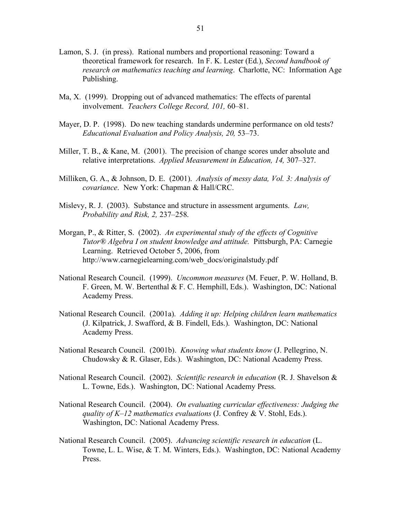- Lamon, S. J. (in press). Rational numbers and proportional reasoning: Toward a theoretical framework for research. In F. K. Lester (Ed.), *Second handbook of research on mathematics teaching and learning*. Charlotte, NC: Information Age Publishing.
- Ma, X. (1999). Dropping out of advanced mathematics: The effects of parental involvement. *Teachers College Record, 101,* 60–81.
- Mayer, D. P. (1998). Do new teaching standards undermine performance on old tests? *Educational Evaluation and Policy Analysis, 20,* 53–73.
- Miller, T. B., & Kane, M. (2001). The precision of change scores under absolute and relative interpretations. *Applied Measurement in Education, 14,* 307–327.
- Milliken, G. A., & Johnson, D. E. (2001). *Analysis of messy data, Vol. 3: Analysis of covariance*. New York: Chapman & Hall/CRC.
- Mislevy, R. J. (2003). Substance and structure in assessment arguments. *Law, Probability and Risk, 2,* 237–258.
- Morgan, P., & Ritter, S. (2002). *An experimental study of the effects of Cognitive Tutor® Algebra I on student knowledge and attitude.* Pittsburgh, PA: Carnegie Learning. Retrieved October 5, 2006, from http://www.carnegielearning.com/web\_docs/originalstudy.pdf
- National Research Council. (1999). *Uncommon measures* (M. Feuer, P. W. Holland, B. F. Green, M. W. Bertenthal & F. C. Hemphill, Eds.). Washington, DC: National Academy Press.
- National Research Council. (2001a). *Adding it up: Helping children learn mathematics* (J. Kilpatrick, J. Swafford, & B. Findell, Eds.). Washington, DC: National Academy Press.
- National Research Council. (2001b). *Knowing what students know* (J. Pellegrino, N. Chudowsky & R. Glaser, Eds.). Washington, DC: National Academy Press.
- National Research Council. (2002). *Scientific research in education* (R. J. Shavelson & L. Towne, Eds.). Washington, DC: National Academy Press.
- National Research Council. (2004). *On evaluating curricular effectiveness: Judging the quality of K–12 mathematics evaluations* (J. Confrey & V. Stohl, Eds.). Washington, DC: National Academy Press.
- National Research Council. (2005). *Advancing scientific research in education* (L. Towne, L. L. Wise, & T. M. Winters, Eds.). Washington, DC: National Academy Press.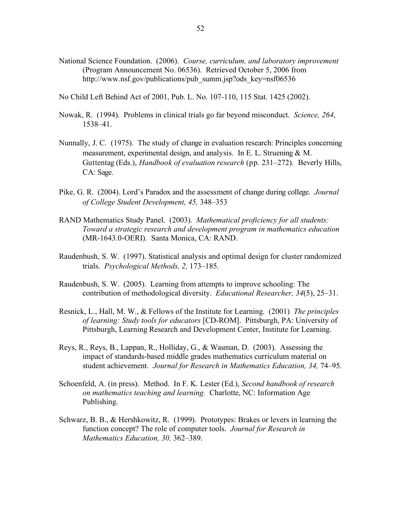- National Science Foundation. (2006). *Course, curriculum, and laboratory improvement* (Program Announcement No. 06536). Retrieved October 5, 2006 from http://www.nsf.gov/publications/pub\_summ.jsp?ods\_key=nsf06536
- No Child Left Behind Act of 2001, Pub. L. No. 107-110, 115 Stat. 1425 (2002).
- Nowak, R. (1994). Problems in clinical trials go far beyond misconduct. *Science, 264*, 1538–41.
- Nunnally, J. C. (1975). The study of change in evaluation research: Principles concerning measurement, experimental design, and analysis. In E. L. Struening & M. Guttentag (Eds.), *Handbook of evaluation research* (pp. 231–272). Beverly Hills, CA: Sage.
- Pike, G. R. (2004). Lord's Paradox and the assessment of change during college. *Journal of College Student Development, 45,* 348–353
- RAND Mathematics Study Panel. (2003). *Mathematical proficiency for all students: Toward a strategic research and development program in mathematics education* (MR-1643.0-OERI)*.* Santa Monica, CA: RAND.
- Raudenbush, S. W. (1997). Statistical analysis and optimal design for cluster randomized trials. *Psychological Methods, 2,* 173–185.
- Raudenbush, S. W. (2005). Learning from attempts to improve schooling: The contribution of methodological diversity. *Educational Researcher, 34*(5), 25–31.
- Resnick, L., Hall, M. W., & Fellows of the Institute for Learning. (2001) *The principles of learning: Study tools for educators* [CD-ROM]. Pittsburgh, PA: University of Pittsburgh, Learning Research and Development Center, Institute for Learning.
- Reys, R., Reys, B., Lappan, R., Holliday, G., & Wasman, D. (2003). Assessing the impact of standards-based middle grades mathematics curriculum material on student achievement. *Journal for Research in Mathematics Education, 34,* 74–95.
- Schoenfeld, A. (in press). Method. In F. K. Lester (Ed.), *Second handbook of research on mathematics teaching and learning.* Charlotte, NC: Information Age Publishing.
- Schwarz, B. B., & Hershkowitz, R. (1999). Prototypes: Brakes or levers in learning the function concept? The role of computer tools. *Journal for Research in Mathematics Education, 30,* 362–389.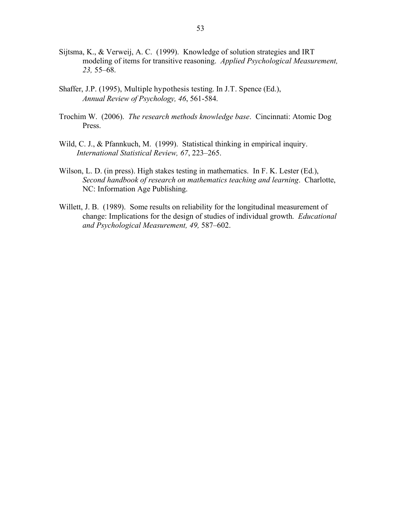- Sijtsma, K., & Verweij, A. C. (1999). Knowledge of solution strategies and IRT modeling of items for transitive reasoning. *Applied Psychological Measurement, 23,* 55–68.
- Shaffer, J.P. (1995), Multiple hypothesis testing. In J.T. Spence (Ed.), *Annual Review of Psychology, 46*, 561-584.
- Trochim W. (2006). *The research methods knowledge base*. Cincinnati: Atomic Dog Press.
- Wild, C. J., & Pfannkuch, M. (1999). Statistical thinking in empirical inquiry. *International Statistical Review, 67*, 223–265.
- Wilson, L. D. (in press). High stakes testing in mathematics. In F. K. Lester (Ed.), *Second handbook of research on mathematics teaching and learning*. Charlotte, NC: Information Age Publishing.
- Willett, J. B. (1989). Some results on reliability for the longitudinal measurement of change: Implications for the design of studies of individual growth. *Educational and Psychological Measurement, 49,* 587–602.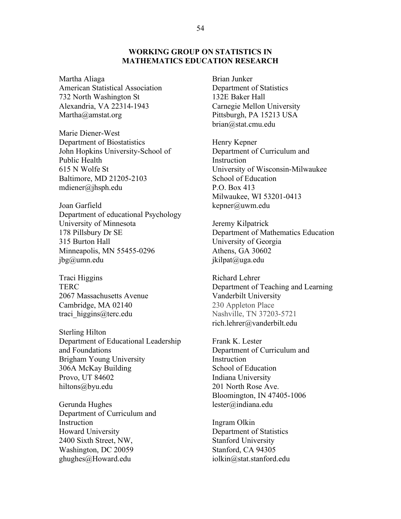#### **WORKING GROUP ON STATISTICS IN MATHEMATICS EDUCATION RESEARCH**

Martha Aliaga American Statistical Association 732 North Washington St Alexandria, VA 22314-1943 Martha@amstat.org

Marie Diener-West Department of Biostatistics John Hopkins University-School of Public Health 615 N Wolfe St Baltimore, MD 21205-2103 mdiener@jhsph.edu

Joan Garfield Department of educational Psychology University of Minnesota 178 Pillsbury Dr SE 315 Burton Hall Minneapolis, MN 55455-0296 jbg@umn.edu

Traci Higgins **TERC** 2067 Massachusetts Avenue Cambridge, MA 02140 traci\_higgins@terc.edu

Sterling Hilton Department of Educational Leadership and Foundations Brigham Young University 306A McKay Building Provo, UT 84602 hiltons@byu.edu

Gerunda Hughes Department of Curriculum and **Instruction** Howard University 2400 Sixth Street, NW, Washington, DC 20059 ghughes@Howard.edu

Brian Junker Department of Statistics 132E Baker Hall Carnegie Mellon University Pittsburgh, PA 15213 USA brian@stat.cmu.edu

Henry Kepner Department of Curriculum and Instruction University of Wisconsin-Milwaukee School of Education P.O. Box 413 Milwaukee, WI 53201-0413 kepner@uwm.edu

Jeremy Kilpatrick Department of Mathematics Education University of Georgia Athens, GA 30602 jkilpat@uga.edu

Richard Lehrer Department of Teaching and Learning Vanderbilt University 230 Appleton Place Nashville, TN 37203-5721 rich.lehrer@vanderbilt.edu

Frank K. Lester Department of Curriculum and **Instruction** School of Education Indiana University 201 North Rose Ave. Bloomington, IN 47405-1006 lester@indiana.edu

Ingram Olkin Department of Statistics Stanford University Stanford, CA 94305 iolkin@stat.stanford.edu